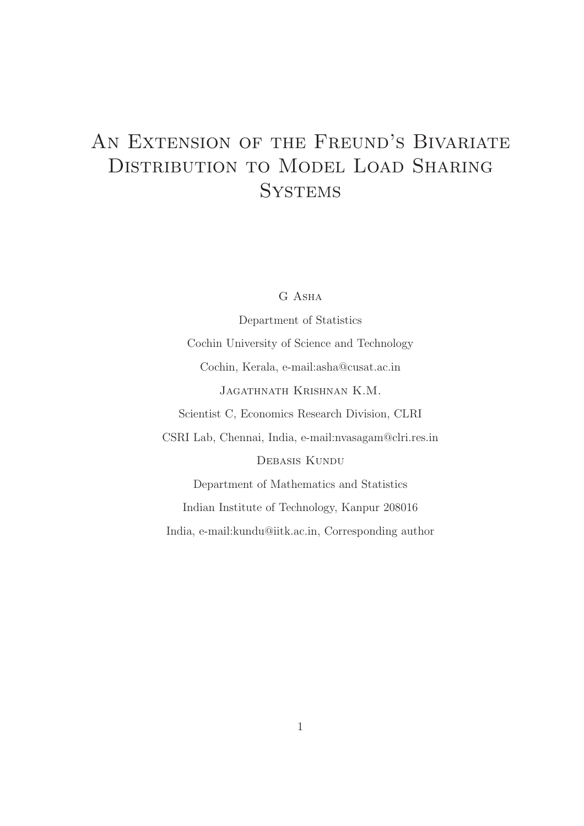# AN EXTENSION OF THE FREUND'S BIVARIATE Distribution to Model Load Sharing **SYSTEMS**

G Asha

Department of Statistics Cochin University of Science and Technology Cochin, Kerala, e-mail:asha@cusat.ac.in Jagathnath Krishnan K.M. Scientist C, Economics Research Division, CLRI CSRI Lab, Chennai, India, e-mail:nvasagam@clri.res.in Debasis Kundu Department of Mathematics and Statistics Indian Institute of Technology, Kanpur 208016

India, e-mail:kundu@iitk.ac.in, Corresponding author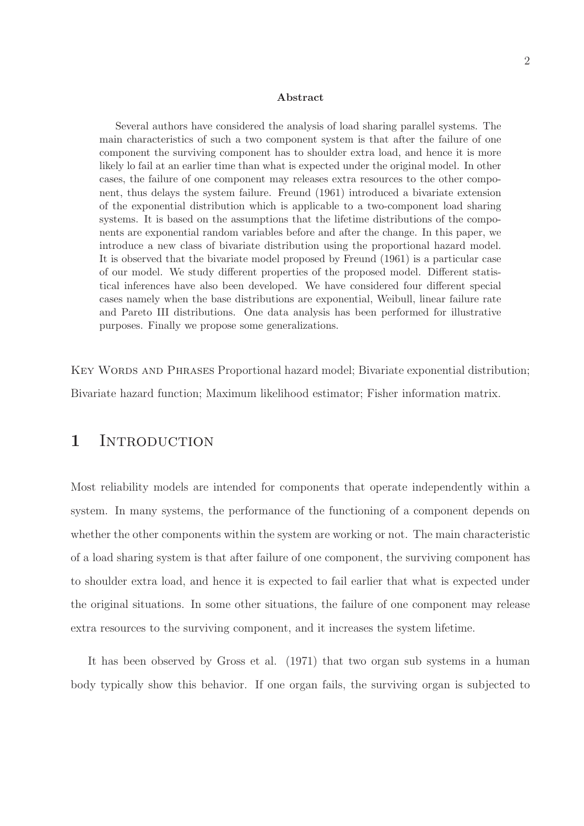#### Abstract

Several authors have considered the analysis of load sharing parallel systems. The main characteristics of such a two component system is that after the failure of one component the surviving component has to shoulder extra load, and hence it is more likely lo fail at an earlier time than what is expected under the original model. In other cases, the failure of one component may releases extra resources to the other component, thus delays the system failure. Freund (1961) introduced a bivariate extension of the exponential distribution which is applicable to a two-component load sharing systems. It is based on the assumptions that the lifetime distributions of the components are exponential random variables before and after the change. In this paper, we introduce a new class of bivariate distribution using the proportional hazard model. It is observed that the bivariate model proposed by Freund (1961) is a particular case of our model. We study different properties of the proposed model. Different statistical inferences have also been developed. We have considered four different special cases namely when the base distributions are exponential, Weibull, linear failure rate and Pareto III distributions. One data analysis has been performed for illustrative purposes. Finally we propose some generalizations.

KEY WORDS AND PHRASES Proportional hazard model; Bivariate exponential distribution; Bivariate hazard function; Maximum likelihood estimator; Fisher information matrix.

### 1 INTRODUCTION

Most reliability models are intended for components that operate independently within a system. In many systems, the performance of the functioning of a component depends on whether the other components within the system are working or not. The main characteristic of a load sharing system is that after failure of one component, the surviving component has to shoulder extra load, and hence it is expected to fail earlier that what is expected under the original situations. In some other situations, the failure of one component may release extra resources to the surviving component, and it increases the system lifetime.

It has been observed by Gross et al. (1971) that two organ sub systems in a human body typically show this behavior. If one organ fails, the surviving organ is subjected to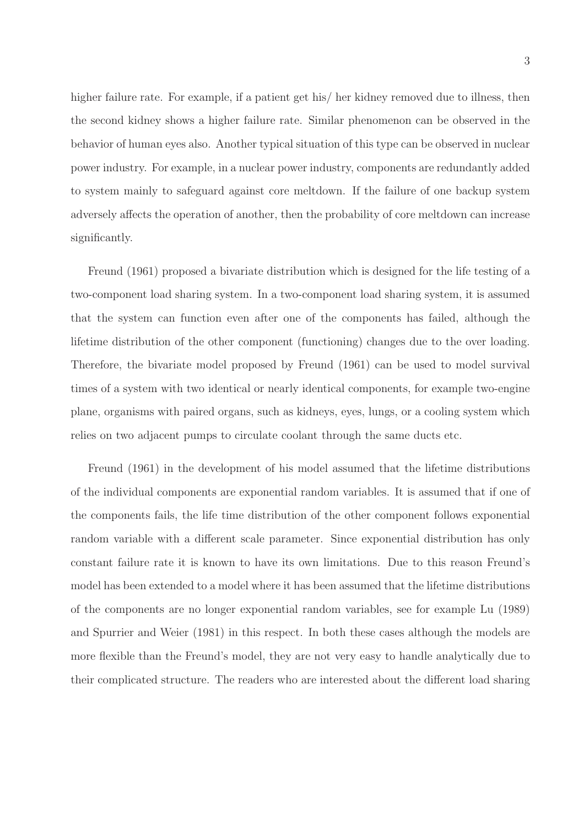higher failure rate. For example, if a patient get his/ her kidney removed due to illness, then the second kidney shows a higher failure rate. Similar phenomenon can be observed in the behavior of human eyes also. Another typical situation of this type can be observed in nuclear power industry. For example, in a nuclear power industry, components are redundantly added to system mainly to safeguard against core meltdown. If the failure of one backup system adversely affects the operation of another, then the probability of core meltdown can increase significantly.

Freund (1961) proposed a bivariate distribution which is designed for the life testing of a two-component load sharing system. In a two-component load sharing system, it is assumed that the system can function even after one of the components has failed, although the lifetime distribution of the other component (functioning) changes due to the over loading. Therefore, the bivariate model proposed by Freund (1961) can be used to model survival times of a system with two identical or nearly identical components, for example two-engine plane, organisms with paired organs, such as kidneys, eyes, lungs, or a cooling system which relies on two adjacent pumps to circulate coolant through the same ducts etc.

Freund (1961) in the development of his model assumed that the lifetime distributions of the individual components are exponential random variables. It is assumed that if one of the components fails, the life time distribution of the other component follows exponential random variable with a different scale parameter. Since exponential distribution has only constant failure rate it is known to have its own limitations. Due to this reason Freund's model has been extended to a model where it has been assumed that the lifetime distributions of the components are no longer exponential random variables, see for example Lu (1989) and Spurrier and Weier (1981) in this respect. In both these cases although the models are more flexible than the Freund's model, they are not very easy to handle analytically due to their complicated structure. The readers who are interested about the different load sharing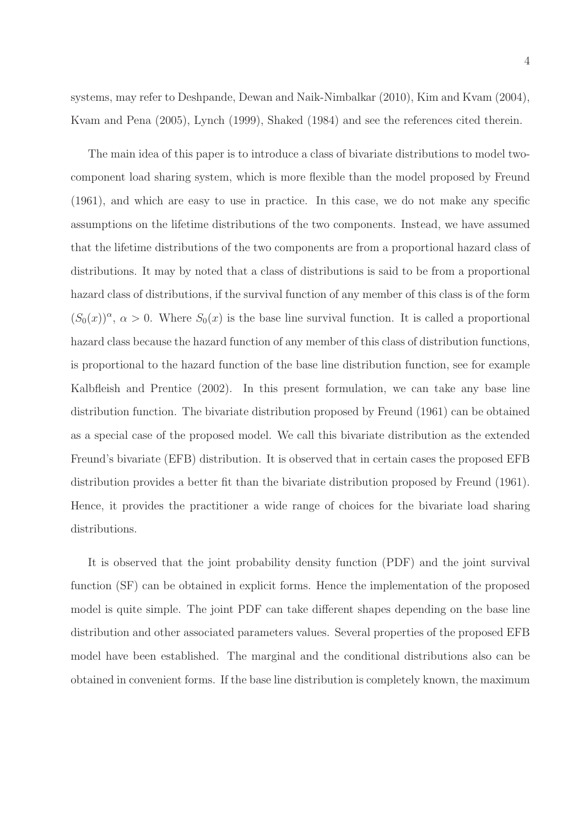Kvam and Pena (2005), Lynch (1999), Shaked (1984) and see the references cited therein.

The main idea of this paper is to introduce a class of bivariate distributions to model twocomponent load sharing system, which is more flexible than the model proposed by Freund (1961), and which are easy to use in practice. In this case, we do not make any specific assumptions on the lifetime distributions of the two components. Instead, we have assumed that the lifetime distributions of the two components are from a proportional hazard class of distributions. It may by noted that a class of distributions is said to be from a proportional hazard class of distributions, if the survival function of any member of this class is of the form  $(S_0(x))^{\alpha}$ ,  $\alpha > 0$ . Where  $S_0(x)$  is the base line survival function. It is called a proportional hazard class because the hazard function of any member of this class of distribution functions, is proportional to the hazard function of the base line distribution function, see for example Kalbfleish and Prentice (2002). In this present formulation, we can take any base line distribution function. The bivariate distribution proposed by Freund (1961) can be obtained as a special case of the proposed model. We call this bivariate distribution as the extended Freund's bivariate (EFB) distribution. It is observed that in certain cases the proposed EFB distribution provides a better fit than the bivariate distribution proposed by Freund (1961). Hence, it provides the practitioner a wide range of choices for the bivariate load sharing distributions.

It is observed that the joint probability density function (PDF) and the joint survival function (SF) can be obtained in explicit forms. Hence the implementation of the proposed model is quite simple. The joint PDF can take different shapes depending on the base line distribution and other associated parameters values. Several properties of the proposed EFB model have been established. The marginal and the conditional distributions also can be obtained in convenient forms. If the base line distribution is completely known, the maximum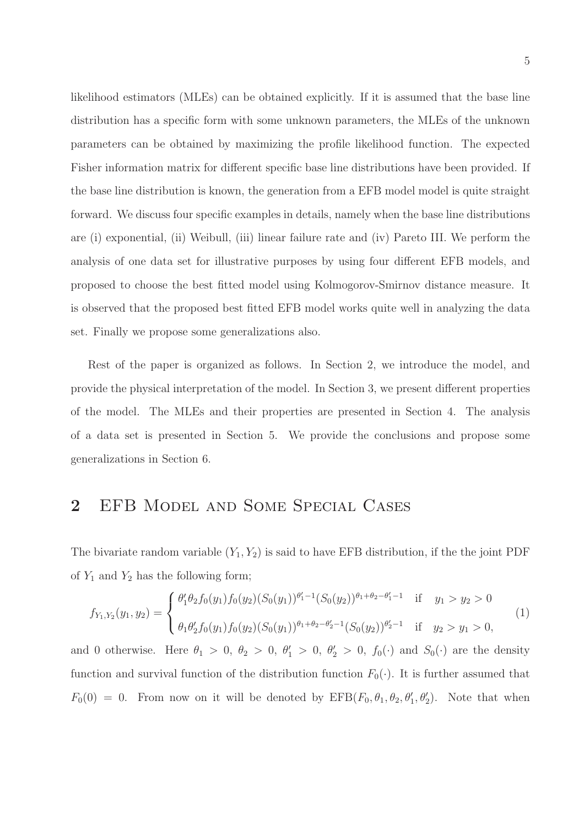likelihood estimators (MLEs) can be obtained explicitly. If it is assumed that the base line distribution has a specific form with some unknown parameters, the MLEs of the unknown parameters can be obtained by maximizing the profile likelihood function. The expected Fisher information matrix for different specific base line distributions have been provided. If the base line distribution is known, the generation from a EFB model model is quite straight forward. We discuss four specific examples in details, namely when the base line distributions are (i) exponential, (ii) Weibull, (iii) linear failure rate and (iv) Pareto III. We perform the analysis of one data set for illustrative purposes by using four different EFB models, and proposed to choose the best fitted model using Kolmogorov-Smirnov distance measure. It is observed that the proposed best fitted EFB model works quite well in analyzing the data set. Finally we propose some generalizations also.

Rest of the paper is organized as follows. In Section 2, we introduce the model, and provide the physical interpretation of the model. In Section 3, we present different properties of the model. The MLEs and their properties are presented in Section 4. The analysis of a data set is presented in Section 5. We provide the conclusions and propose some generalizations in Section 6.

### 2 EFB Model and Some Special Cases

The bivariate random variable  $(Y_1, Y_2)$  is said to have EFB distribution, if the the joint PDF of  $Y_1$  and  $Y_2$  has the following form;

$$
f_{Y_1,Y_2}(y_1,y_2) = \begin{cases} \theta'_1 \theta_2 f_0(y_1) f_0(y_2) (S_0(y_1))^{\theta'_1 - 1} (S_0(y_2))^{\theta_1 + \theta_2 - \theta'_1 - 1} & \text{if } y_1 > y_2 > 0 \\ \theta_1 \theta'_2 f_0(y_1) f_0(y_2) (S_0(y_1))^{\theta_1 + \theta_2 - \theta'_2 - 1} (S_0(y_2))^{\theta'_2 - 1} & \text{if } y_2 > y_1 > 0, \end{cases}
$$
(1)

and 0 otherwise. Here  $\theta_1 > 0$ ,  $\theta_2 > 0$ ,  $\theta'_1 > 0$ ,  $\theta'_2 > 0$ ,  $f_0(\cdot)$  and  $S_0(\cdot)$  are the density function and survival function of the distribution function  $F_0(\cdot)$ . It is further assumed that  $F_0(0) = 0$ . From now on it will be denoted by  $EFB(F_0, \theta_1, \theta_2, \theta'_1, \theta'_2)$ . Note that when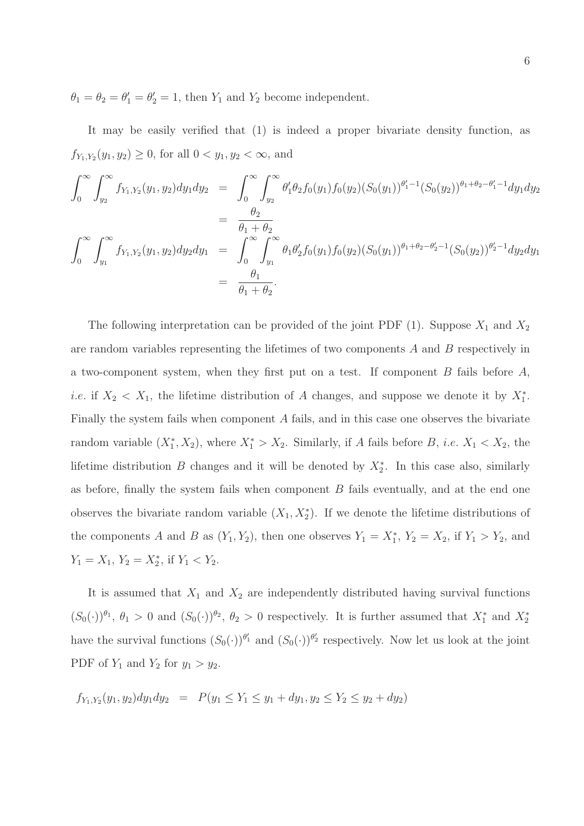$\theta_1 = \theta_2 = \theta'_1 = \theta'_2 = 1$ , then  $Y_1$  and  $Y_2$  become independent.

It may be easily verified that (1) is indeed a proper bivariate density function, as  $f_{Y_1,Y_2}(y_1, y_2) \ge 0$ , for all  $0 < y_1, y_2 < \infty$ , and

$$
\int_0^\infty \int_{y_2}^\infty f_{Y_1, Y_2}(y_1, y_2) dy_1 dy_2 = \int_0^\infty \int_{y_2}^\infty \theta'_1 \theta_2 f_0(y_1) f_0(y_2) (S_0(y_1))^{\theta'_1 - 1} (S_0(y_2))^{\theta_1 + \theta_2 - \theta'_1 - 1} dy_1 dy_2
$$
  
\n
$$
= \frac{\theta_2}{\theta_1 + \theta_2}
$$
  
\n
$$
\int_0^\infty \int_{y_1}^\infty f_{Y_1, Y_2}(y_1, y_2) dy_2 dy_1 = \int_0^\infty \int_{y_1}^\infty \theta_1 \theta'_2 f_0(y_1) f_0(y_2) (S_0(y_1))^{\theta_1 + \theta_2 - \theta'_2 - 1} (S_0(y_2))^{\theta'_2 - 1} dy_2 dy_1
$$
  
\n
$$
= \frac{\theta_1}{\theta_1 + \theta_2}.
$$

The following interpretation can be provided of the joint PDF (1). Suppose  $X_1$  and  $X_2$ are random variables representing the lifetimes of two components  $A$  and  $B$  respectively in a two-component system, when they first put on a test. If component  $B$  fails before  $A$ , *i.e.* if  $X_2 < X_1$ , the lifetime distribution of A changes, and suppose we denote it by  $X_1^*$ . Finally the system fails when component A fails, and in this case one observes the bivariate random variable  $(X_1^*, X_2)$ , where  $X_1^* > X_2$ . Similarly, if A fails before B, *i.e.*  $X_1 < X_2$ , the lifetime distribution B changes and it will be denoted by  $X_2^*$ . In this case also, similarly as before, finally the system fails when component  $B$  fails eventually, and at the end one observes the bivariate random variable  $(X_1, X_2^*)$ . If we denote the lifetime distributions of the components A and B as  $(Y_1, Y_2)$ , then one observes  $Y_1 = X_1^*$ ,  $Y_2 = X_2$ , if  $Y_1 > Y_2$ , and  $Y_1 = X_1, Y_2 = X_2^*$ , if  $Y_1 < Y_2$ .

It is assumed that  $X_1$  and  $X_2$  are independently distributed having survival functions  $(S_0(\cdot))^{\theta_1}$ ,  $\theta_1 > 0$  and  $(S_0(\cdot))^{\theta_2}$ ,  $\theta_2 > 0$  respectively. It is further assumed that  $X_1^*$  and  $X_2^*$ have the survival functions  $(S_0(\cdot))^{b'_1}$  and  $(S_0(\cdot))^{b'_2}$  respectively. Now let us look at the joint PDF of  $Y_1$  and  $Y_2$  for  $y_1 > y_2$ .

 $f_{Y_1,Y_2}(y_1, y_2)dy_1dy_2 = P(y_1 \leq Y_1 \leq y_1 + dy_1, y_2 \leq Y_2 \leq y_2 + dy_2)$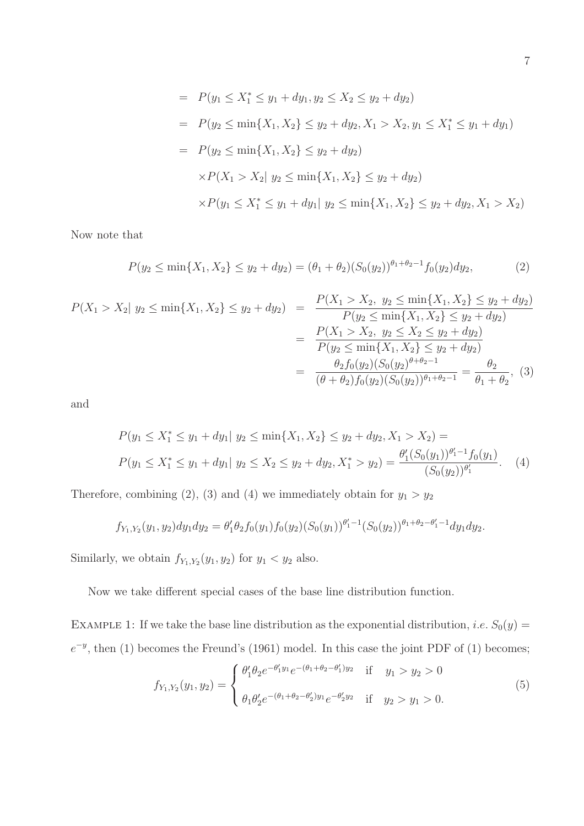$$
= P(y_1 \le X_1^* \le y_1 + dy_1, y_2 \le X_2 \le y_2 + dy_2)
$$
  
\n
$$
= P(y_2 \le \min\{X_1, X_2\} \le y_2 + dy_2, X_1 > X_2, y_1 \le X_1^* \le y_1 + dy_1)
$$
  
\n
$$
= P(y_2 \le \min\{X_1, X_2\} \le y_2 + dy_2)
$$
  
\n
$$
\times P(X_1 > X_2 | y_2 \le \min\{X_1, X_2\} \le y_2 + dy_2)
$$
  
\n
$$
\times P(y_1 \le X_1^* \le y_1 + dy_1 | y_2 \le \min\{X_1, X_2\} \le y_2 + dy_2, X_1 > X_2)
$$

Now note that

$$
P(y_2 \le \min\{X_1, X_2\} \le y_2 + dy_2) = (\theta_1 + \theta_2)(S_0(y_2))^{\theta_1 + \theta_2 - 1} f_0(y_2) dy_2, \tag{2}
$$

$$
P(X_1 > X_2 | y_2 \le \min\{X_1, X_2\} \le y_2 + dy_2) = \frac{P(X_1 > X_2, y_2 \le \min\{X_1, X_2\} \le y_2 + dy_2)}{P(y_2 \le \min\{X_1, X_2\} \le y_2 + dy_2)}
$$
  
= 
$$
\frac{P(X_1 > X_2, y_2 \le X_2 \le y_2 + dy_2)}{P(y_2 \le \min\{X_1, X_2\} \le y_2 + dy_2)}
$$
  
= 
$$
\frac{\theta_2 f_0(y_2)(S_0(y_2)^{\theta + \theta_2 - 1}}{(\theta + \theta_2)f_0(y_2)(S_0(y_2))^{\theta_1 + \theta_2 - 1}} = \frac{\theta_2}{\theta_1 + \theta_2},
$$
 (3)

and

$$
P(y_1 \le X_1^* \le y_1 + dy_1 | y_2 \le \min\{X_1, X_2\} \le y_2 + dy_2, X_1 > X_2) =
$$
  

$$
P(y_1 \le X_1^* \le y_1 + dy_1 | y_2 \le X_2 \le y_2 + dy_2, X_1^* > y_2) = \frac{\theta_1'(S_0(y_1))^{\theta_1'-1} f_0(y_1)}{(S_0(y_2))^{\theta_1'}}.
$$
 (4)

Therefore, combining (2), (3) and (4) we immediately obtain for  $y_1 > y_2$ 

$$
f_{Y_1,Y_2}(y_1,y_2)dy_1dy_2 = \theta'_1\theta_2 f_0(y_1)f_0(y_2)(S_0(y_1))^{\theta'_1-1}(S_0(y_2))^{\theta_1+\theta_2-\theta'_1-1}dy_1dy_2.
$$

Similarly, we obtain  $f_{Y_1,Y_2}(y_1, y_2)$  for  $y_1 < y_2$  also.

Now we take different special cases of the base line distribution function.

EXAMPLE 1: If we take the base line distribution as the exponential distribution, *i.e.*  $S_0(y)$  =  $e^{-y}$ , then (1) becomes the Freund's (1961) model. In this case the joint PDF of (1) becomes;

$$
f_{Y_1,Y_2}(y_1,y_2) = \begin{cases} \theta'_1 \theta_2 e^{-\theta'_1 y_1} e^{-(\theta_1 + \theta_2 - \theta'_1) y_2} & \text{if } y_1 > y_2 > 0\\ \theta_1 \theta'_2 e^{-(\theta_1 + \theta_2 - \theta'_2) y_1} e^{-\theta'_2 y_2} & \text{if } y_2 > y_1 > 0. \end{cases}
$$
(5)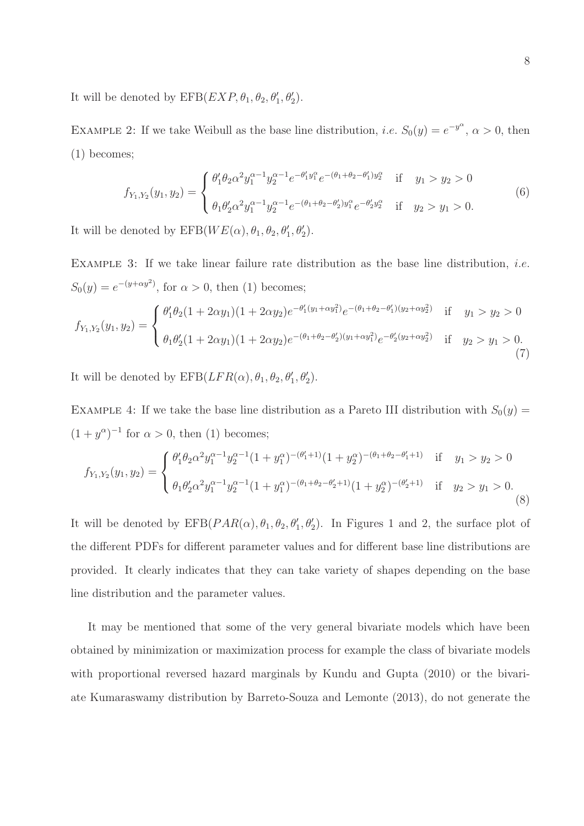It will be denoted by  $EFB(EXP, \theta_1, \theta_2, \theta'_1, \theta'_2)$ .

EXAMPLE 2: If we take Weibull as the base line distribution, *i.e.*  $S_0(y) = e^{-y^{\alpha}}$ ,  $\alpha > 0$ , then (1) becomes;

$$
f_{Y_1,Y_2}(y_1,y_2) = \begin{cases} \theta'_1 \theta_2 \alpha^2 y_1^{\alpha-1} y_2^{\alpha-1} e^{-\theta'_1 y_1^{\alpha}} e^{-(\theta_1 + \theta_2 - \theta'_1) y_2^{\alpha}} & \text{if } y_1 > y_2 > 0\\ \theta_1 \theta'_2 \alpha^2 y_1^{\alpha-1} y_2^{\alpha-1} e^{-(\theta_1 + \theta_2 - \theta'_2) y_1^{\alpha}} e^{-\theta'_2 y_2^{\alpha}} & \text{if } y_2 > y_1 > 0. \end{cases}
$$
(6)

It will be denoted by  $EFB(WE(\alpha), \theta_1, \theta_2, \theta'_1, \theta'_2)$ .

EXAMPLE 3: If we take linear failure rate distribution as the base line distribution, *i.e.*  $S_0(y) = e^{-(y+\alpha y^2)}$ , for  $\alpha > 0$ , then (1) becomes;

$$
f_{Y_1,Y_2}(y_1,y_2) = \begin{cases} \theta'_1 \theta_2 (1+2\alpha y_1)(1+2\alpha y_2) e^{-\theta'_1 (y_1+\alpha y_1^2)} e^{-(\theta_1+\theta_2-\theta'_1)(y_2+\alpha y_2^2)} & \text{if } y_1 > y_2 > 0\\ \theta_1 \theta'_2 (1+2\alpha y_1)(1+2\alpha y_2) e^{-(\theta_1+\theta_2-\theta'_2)(y_1+\alpha y_1^2)} e^{-\theta'_2 (y_2+\alpha y_2^2)} & \text{if } y_2 > y_1 > 0. \end{cases}
$$
(7)

It will be denoted by  $EFB(LFR(\alpha), \theta_1, \theta_2, \theta'_1, \theta'_2)$ .

EXAMPLE 4: If we take the base line distribution as a Pareto III distribution with  $S_0(y)$  =  $(1+y^{\alpha})^{-1}$  for  $\alpha > 0$ , then (1) becomes;

$$
f_{Y_1,Y_2}(y_1,y_2) = \begin{cases} \theta'_1 \theta_2 \alpha^2 y_1^{\alpha-1} y_2^{\alpha-1} (1+y_1^{\alpha})^{-(\theta'_1+1)} (1+y_2^{\alpha})^{-(\theta_1+\theta_2-\theta'_1+1)} & \text{if } y_1 > y_2 > 0\\ \theta_1 \theta'_2 \alpha^2 y_1^{\alpha-1} y_2^{\alpha-1} (1+y_1^{\alpha})^{-(\theta_1+\theta_2-\theta'_2+1)} (1+y_2^{\alpha})^{-(\theta'_2+1)} & \text{if } y_2 > y_1 > 0. \end{cases}
$$
\n(8)

It will be denoted by  $EFB(PAR(\alpha), \theta_1, \theta_2, \theta'_1, \theta'_2)$ . In Figures 1 and 2, the surface plot of the different PDFs for different parameter values and for different base line distributions are provided. It clearly indicates that they can take variety of shapes depending on the base line distribution and the parameter values.

It may be mentioned that some of the very general bivariate models which have been obtained by minimization or maximization process for example the class of bivariate models with proportional reversed hazard marginals by Kundu and Gupta (2010) or the bivariate Kumaraswamy distribution by Barreto-Souza and Lemonte (2013), do not generate the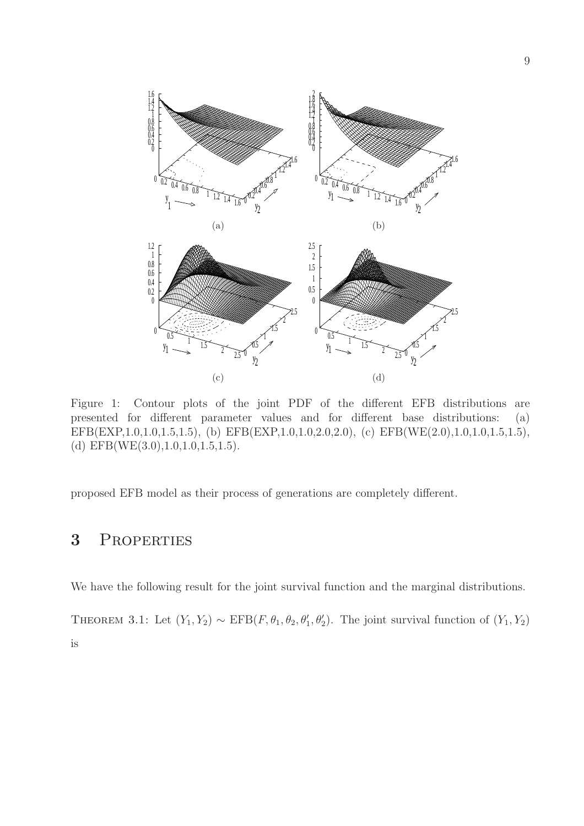

Figure 1: Contour plots of the joint PDF of the different EFB distributions are presented for different parameter values and for different base distributions: (a) EFB(EXP,1.0,1.0,1.5,1.5), (b) EFB(EXP,1.0,1.0,2.0,2.0), (c) EFB(WE(2.0),1.0,1.0,1.5,1.5), (d) EFB(WE(3.0),1.0,1.0,1.5,1.5).

proposed EFB model as their process of generations are completely different.

# 3 Properties

We have the following result for the joint survival function and the marginal distributions.

THEOREM 3.1: Let  $(Y_1, Y_2) \sim \text{EFB}(F, \theta_1, \theta_2, \theta'_1, \theta'_2)$ . The joint survival function of  $(Y_1, Y_2)$ is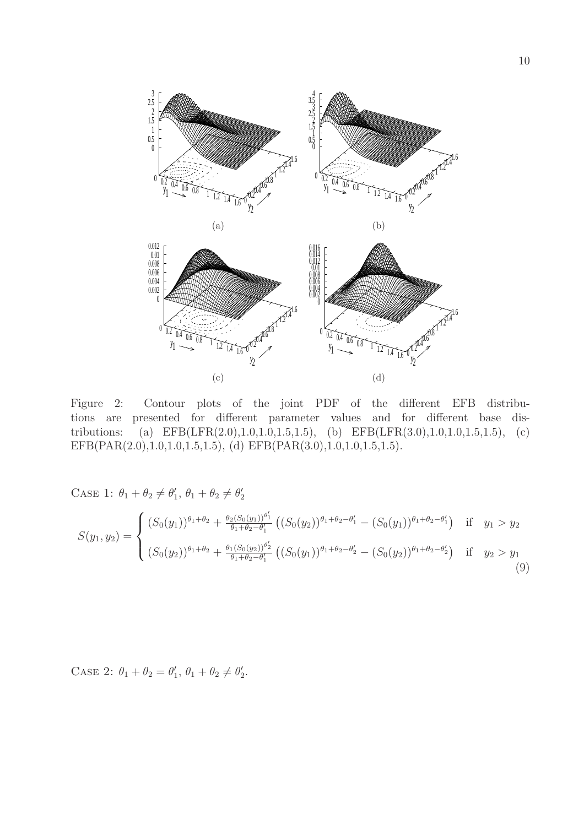

Figure 2: Contour plots of the joint PDF of the different EFB distributions are presented for different parameter values and for different base distributions: (a) EFB(LFR(2.0),1.0,1.0,1.5,1.5), (b) EFB(LFR(3.0),1.0,1.0,1.5,1.5), (c) EFB(PAR(2.0),1.0,1.0,1.5,1.5), (d) EFB(PAR(3.0),1.0,1.0,1.5,1.5).

CASE 1:  $\theta_1 + \theta_2 \neq \theta'_1$  $\ell_1', \theta_1 + \theta_2 \neq \theta_2'$ 2

$$
S(y_1, y_2) = \begin{cases} (S_0(y_1))^{\theta_1 + \theta_2} + \frac{\theta_2(S_0(y_1))^{\theta'_1}}{\theta_1 + \theta_2 - \theta'_1} \left( (S_0(y_2))^{\theta_1 + \theta_2 - \theta'_1} - (S_0(y_1))^{\theta_1 + \theta_2 - \theta'_1} \right) & \text{if } y_1 > y_2 \\ (S_0(y_2))^{\theta_1 + \theta_2} + \frac{\theta_1(S_0(y_2))^{\theta'_2}}{\theta_1 + \theta_2 - \theta'_1} \left( (S_0(y_1))^{\theta_1 + \theta_2 - \theta'_2} - (S_0(y_2))^{\theta_1 + \theta_2 - \theta'_2} \right) & \text{if } y_2 > y_1 \end{cases}
$$
(9)

CASE 2:  $\theta_1 + \theta_2 = \theta'_1$  $\ell_1', \theta_1 + \theta_2 \neq \theta_2'$  $\frac{7}{2}$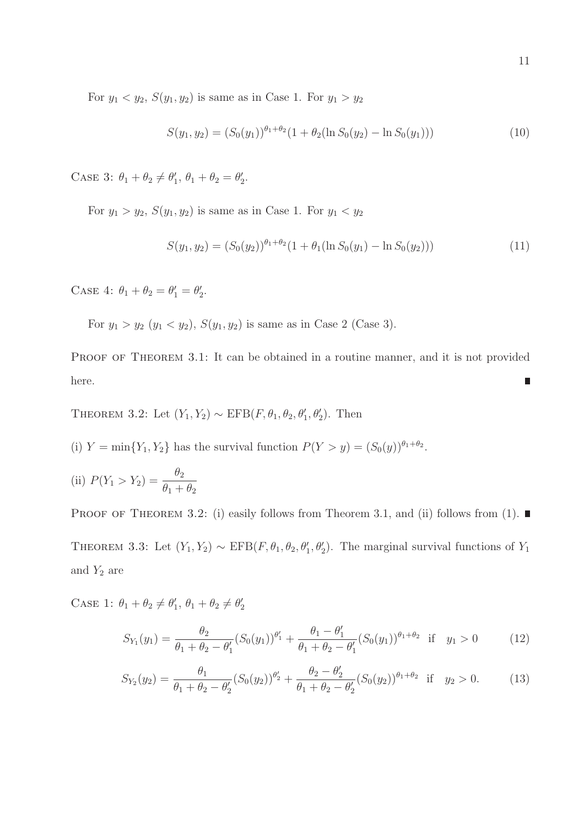For  $y_1 < y_2$ ,  $S(y_1, y_2)$  is same as in Case 1. For  $y_1 > y_2$ 

$$
S(y_1, y_2) = (S_0(y_1))^{\theta_1 + \theta_2} (1 + \theta_2 (\ln S_0(y_2) - \ln S_0(y_1)))
$$
\n(10)

CASE 3:  $\theta_1 + \theta_2 \neq \theta'_1$  $'_{1}, \theta_{1} + \theta_{2} = \theta'_{2}$  $\frac{1}{2}$ .

For  $y_1 > y_2$ ,  $S(y_1, y_2)$  is same as in Case 1. For  $y_1 < y_2$ 

$$
S(y_1, y_2) = (S_0(y_2))^{\theta_1 + \theta_2} (1 + \theta_1 (\ln S_0(y_1) - \ln S_0(y_2)))
$$
\n(11)

CASE 4:  $\theta_1 + \theta_2 = \theta'_1 = \theta'_2$  $\frac{1}{2}$ .

For  $y_1 > y_2$   $(y_1 < y_2)$ ,  $S(y_1, y_2)$  is same as in Case 2 (Case 3).

PROOF OF THEOREM 3.1: It can be obtained in a routine manner, and it is not provided here.

THEOREM 3.2: Let  $(Y_1, Y_2) \sim \text{EFB}(F, \theta_1, \theta_2, \theta'_1, \theta'_2)$ . Then

(i)  $Y = \min\{Y_1, Y_2\}$  has the survival function  $P(Y > y) = (S_0(y))^{\theta_1 + \theta_2}$ .

(ii) 
$$
P(Y_1 > Y_2) = \frac{\theta_2}{\theta_1 + \theta_2}
$$

PROOF OF THEOREM 3.2: (i) easily follows from Theorem 3.1, and (ii) follows from (1). THEOREM 3.3: Let  $(Y_1, Y_2) \sim \text{EFB}(F, \theta_1, \theta_2, \theta'_1, \theta'_2)$ . The marginal survival functions of  $Y_1$ and  $Y_2$  are

CASE 1:  $\theta_1 + \theta_2 \neq \theta'_1$  $\ell_1', \theta_1 + \theta_2 \neq \theta_2'$ 2

$$
S_{Y_1}(y_1) = \frac{\theta_2}{\theta_1 + \theta_2 - \theta_1'} (S_0(y_1))^{\theta_1'} + \frac{\theta_1 - \theta_1'}{\theta_1 + \theta_2 - \theta_1'} (S_0(y_1))^{\theta_1 + \theta_2} \text{ if } y_1 > 0 \quad (12)
$$

$$
S_{Y_2}(y_2) = \frac{\theta_1}{\theta_1 + \theta_2 - \theta_2'} (S_0(y_2))^{\theta_2'} + \frac{\theta_2 - \theta_2'}{\theta_1 + \theta_2 - \theta_2'} (S_0(y_2))^{\theta_1 + \theta_2} \text{ if } y_2 > 0.
$$
 (13)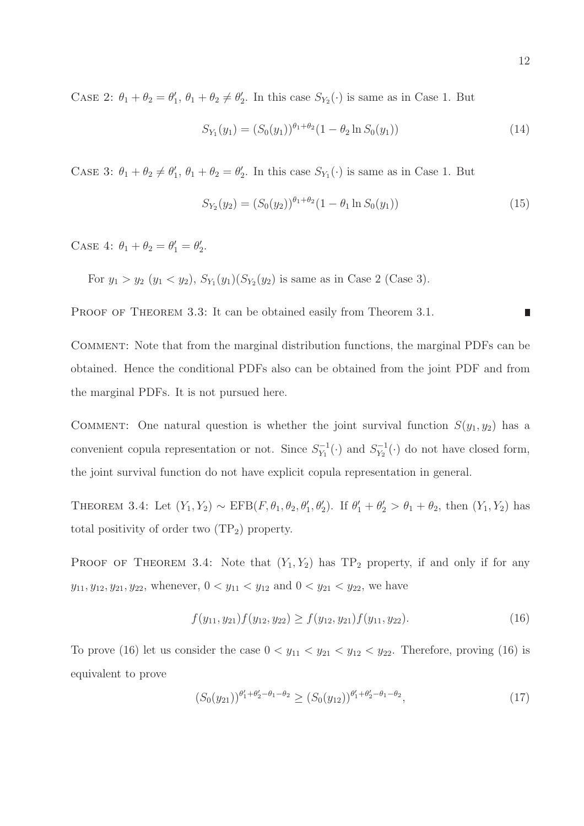CASE 2:  $\theta_1 + \theta_2 = \theta'_1$  $\ell_1', \theta_1 + \theta_2 \neq \theta_2'$  $S_{Y_2}(\cdot)$  is same as in Case 1. But

$$
S_{Y_1}(y_1) = (S_0(y_1))^{\theta_1 + \theta_2} (1 - \theta_2 \ln S_0(y_1))
$$
\n(14)

CASE 3:  $\theta_1 + \theta_2 \neq \theta'_1$  $'_{1}, \theta_{1} + \theta_{2} = \theta'_{2}$  $S_{Y_1}(\cdot)$  is same as in Case 1. But

$$
S_{Y_2}(y_2) = (S_0(y_2))^{\theta_1 + \theta_2} (1 - \theta_1 \ln S_0(y_1))
$$
\n(15)

CASE 4:  $\theta_1 + \theta_2 = \theta'_1 = \theta'_2$  $\frac{1}{2}$ .

For  $y_1 > y_2$   $(y_1 < y_2)$ ,  $S_{Y_1}(y_1)(S_{Y_2}(y_2))$  is same as in Case 2 (Case 3).

PROOF OF THEOREM 3.3: It can be obtained easily from Theorem 3.1.

Comment: Note that from the marginal distribution functions, the marginal PDFs can be obtained. Hence the conditional PDFs also can be obtained from the joint PDF and from the marginal PDFs. It is not pursued here.

COMMENT: One natural question is whether the joint survival function  $S(y_1, y_2)$  has a convenient copula representation or not. Since  $S_{Y_1}^{-1}$  $y_1^{-1}(\cdot)$  and  $S_{Y_2}^{-1}$  $V_{Y_2}^{-1}(\cdot)$  do not have closed form, the joint survival function do not have explicit copula representation in general.

THEOREM 3.4: Let  $(Y_1, Y_2) \sim \text{EFB}(F, \theta_1, \theta_2, \theta'_1, \theta'_2)$ . If  $\theta'_1 + \theta'_2 > \theta_1 + \theta_2$ , then  $(Y_1, Y_2)$  has total positivity of order two  $(TP_2)$  property.

PROOF OF THEOREM 3.4: Note that  $(Y_1, Y_2)$  has  $TP_2$  property, if and only if for any  $y_{11}, y_{12}, y_{21}, y_{22}$ , whenever,  $0 < y_{11} < y_{12}$  and  $0 < y_{21} < y_{22}$ , we have

$$
f(y_{11}, y_{21}) f(y_{12}, y_{22}) \ge f(y_{12}, y_{21}) f(y_{11}, y_{22}).
$$
\n(16)

To prove (16) let us consider the case  $0 < y_{11} < y_{21} < y_{12} < y_{22}$ . Therefore, proving (16) is equivalent to prove

$$
(S_0(y_{21}))^{\theta'_1 + \theta'_2 - \theta_1 - \theta_2} \ge (S_0(y_{12}))^{\theta'_1 + \theta'_2 - \theta_1 - \theta_2},
$$
\n(17)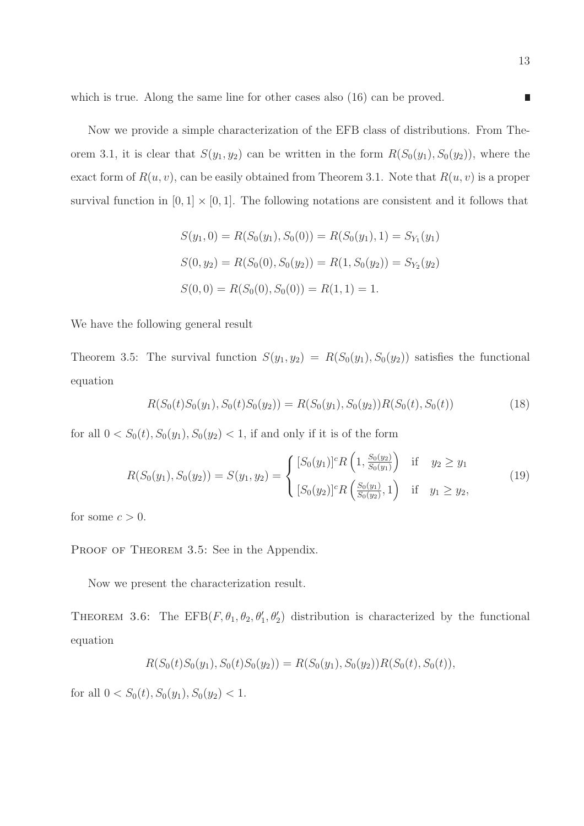which is true. Along the same line for other cases also (16) can be proved.

Now we provide a simple characterization of the EFB class of distributions. From Theorem 3.1, it is clear that  $S(y_1, y_2)$  can be written in the form  $R(S_0(y_1), S_0(y_2))$ , where the exact form of  $R(u, v)$ , can be easily obtained from Theorem 3.1. Note that  $R(u, v)$  is a proper survival function in  $[0, 1] \times [0, 1]$ . The following notations are consistent and it follows that

$$
S(y_1, 0) = R(S_0(y_1), S_0(0)) = R(S_0(y_1), 1) = S_{Y_1}(y_1)
$$
  
\n
$$
S(0, y_2) = R(S_0(0), S_0(y_2)) = R(1, S_0(y_2)) = S_{Y_2}(y_2)
$$
  
\n
$$
S(0, 0) = R(S_0(0), S_0(0)) = R(1, 1) = 1.
$$

We have the following general result

Theorem 3.5: The survival function  $S(y_1, y_2) = R(S_0(y_1), S_0(y_2))$  satisfies the functional equation

$$
R(S_0(t)S_0(y_1), S_0(t)S_0(y_2)) = R(S_0(y_1), S_0(y_2))R(S_0(t), S_0(t))
$$
\n(18)

for all  $0 < S_0(t)$ ,  $S_0(y_1)$ ,  $S_0(y_2) < 1$ , if and only if it is of the form

$$
R(S_0(y_1), S_0(y_2)) = S(y_1, y_2) = \begin{cases} [S_0(y_1)]^c R\left(1, \frac{S_0(y_2)}{S_0(y_1)}\right) & \text{if } y_2 \ge y_1\\ [S_0(y_2)]^c R\left(\frac{S_0(y_1)}{S_0(y_2)}, 1\right) & \text{if } y_1 \ge y_2, \end{cases}
$$
(19)

for some  $c > 0$ .

PROOF OF THEOREM 3.5: See in the Appendix.

Now we present the characterization result.

THEOREM 3.6: The EFB $(F, \theta_1, \theta_2, \theta'_1, \theta'_2)$  distribution is characterized by the functional equation

$$
R(S_0(t)S_0(y_1), S_0(t)S_0(y_2)) = R(S_0(y_1), S_0(y_2))R(S_0(t), S_0(t)),
$$

for all  $0 < S_0(t)$ ,  $S_0(y_1)$ ,  $S_0(y_2) < 1$ .

 $\blacksquare$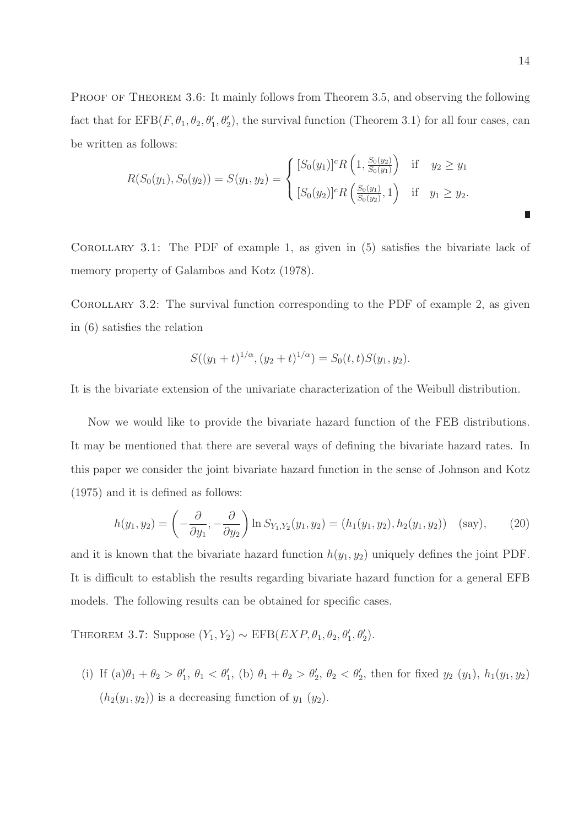PROOF OF THEOREM 3.6: It mainly follows from Theorem 3.5, and observing the following fact that for  $EFB(F, \theta_1, \theta_2, \theta'_1, \theta'_2)$ , the survival function (Theorem 3.1) for all four cases, can be written as follows:

$$
R(S_0(y_1), S_0(y_2)) = S(y_1, y_2) = \begin{cases} [S_0(y_1)]^c R\left(1, \frac{S_0(y_2)}{S_0(y_1)}\right) & \text{if } y_2 \ge y_1\\ [S_0(y_2)]^c R\left(\frac{S_0(y_1)}{S_0(y_2)}, 1\right) & \text{if } y_1 \ge y_2. \end{cases}
$$

Corollary 3.1: The PDF of example 1, as given in (5) satisfies the bivariate lack of memory property of Galambos and Kotz (1978).

COROLLARY 3.2: The survival function corresponding to the PDF of example 2, as given in (6) satisfies the relation

$$
S((y_1+t)^{1/\alpha}, (y_2+t)^{1/\alpha}) = S_0(t, t)S(y_1, y_2).
$$

It is the bivariate extension of the univariate characterization of the Weibull distribution.

Now we would like to provide the bivariate hazard function of the FEB distributions. It may be mentioned that there are several ways of defining the bivariate hazard rates. In this paper we consider the joint bivariate hazard function in the sense of Johnson and Kotz (1975) and it is defined as follows:

$$
h(y_1, y_2) = \left(-\frac{\partial}{\partial y_1}, -\frac{\partial}{\partial y_2}\right) \ln S_{Y_1, Y_2}(y_1, y_2) = (h_1(y_1, y_2), h_2(y_1, y_2)) \quad \text{(say)},\tag{20}
$$

and it is known that the bivariate hazard function  $h(y_1, y_2)$  uniquely defines the joint PDF. It is difficult to establish the results regarding bivariate hazard function for a general EFB models. The following results can be obtained for specific cases.

THEOREM 3.7: Suppose  $(Y_1, Y_2) \sim \text{EFB}(EXP, \theta_1, \theta_2, \theta'_1, \theta'_2)$ .

(i) If  $(a)\theta_1 + \theta_2 > \theta'_1$ ,  $\theta_1 < \theta'_1$ , (b)  $\theta_1 + \theta_2 > \theta'_2$ ,  $\theta_2 < \theta'_2$ , then for fixed  $y_2(y_1)$ ,  $h_1(y_1, y_2)$  $(h_2(y_1, y_2))$  is a decreasing function of  $y_1(y_2)$ .

П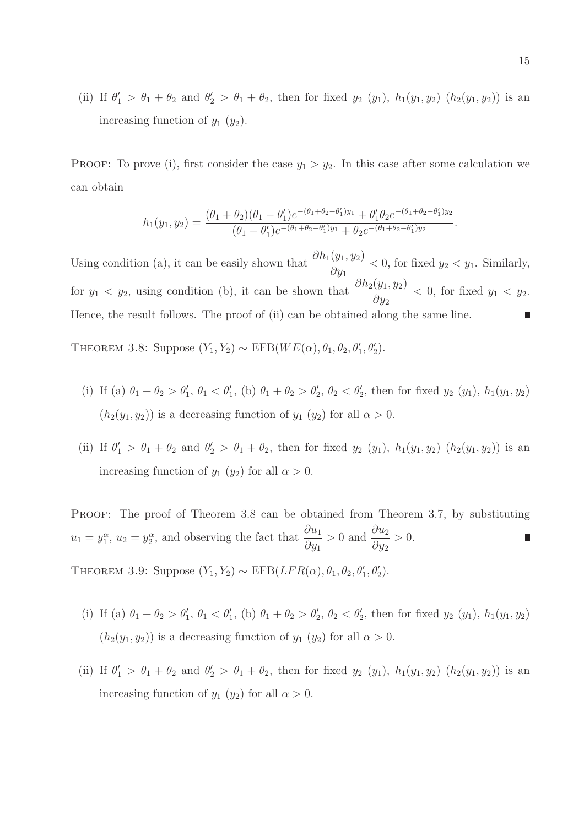(ii) If  $\theta'_1 > \theta_1 + \theta_2$  and  $\theta'_2 > \theta_1 + \theta_2$ , then for fixed  $y_2(y_1)$ ,  $h_1(y_1, y_2)$   $(h_2(y_1, y_2))$  is an increasing function of  $y_1$   $(y_2)$ .

PROOF: To prove (i), first consider the case  $y_1 > y_2$ . In this case after some calculation we can obtain

$$
h_1(y_1, y_2) = \frac{(\theta_1 + \theta_2)(\theta_1 - \theta_1')e^{-(\theta_1 + \theta_2 - \theta_1')y_1} + \theta_1'\theta_2e^{-(\theta_1 + \theta_2 - \theta_1')y_2}}{(\theta_1 - \theta_1')e^{-(\theta_1 + \theta_2 - \theta_1')y_1} + \theta_2e^{-(\theta_1 + \theta_2 - \theta_1')y_2}}
$$

Using condition (a), it can be easily shown that  $\frac{\partial h_1(y_1, y_2)}{\partial x_1}$  $\partial y_1$  $< 0$ , for fixed  $y_2 < y_1$ . Similarly, for  $y_1 < y_2$ , using condition (b), it can be shown that  $\frac{\partial h_2(y_1, y_2)}{\partial y_1}$  $\partial y_2$  $< 0$ , for fixed  $y_1 < y_2$ . Hence, the result follows. The proof of (ii) can be obtained along the same line.

THEOREM 3.8: Suppose  $(Y_1, Y_2) \sim \text{EFB}(WE(\alpha), \theta_1, \theta_2, \theta'_1, \theta'_2)$ .

- (i) If (a)  $\theta_1 + \theta_2 > \theta'_1$ ,  $\theta_1 < \theta'_1$ , (b)  $\theta_1 + \theta_2 > \theta'_2$ ,  $\theta_2 < \theta'_2$ , then for fixed  $y_2(y_1)$ ,  $h_1(y_1, y_2)$  $(h_2(y_1, y_2))$  is a decreasing function of  $y_1(y_2)$  for all  $\alpha > 0$ .
- (ii) If  $\theta'_1 > \theta_1 + \theta_2$  and  $\theta'_2 > \theta_1 + \theta_2$ , then for fixed  $y_2(y_1)$ ,  $h_1(y_1, y_2)$   $(h_2(y_1, y_2))$  is an increasing function of  $y_1$  ( $y_2$ ) for all  $\alpha > 0$ .

PROOF: The proof of Theorem 3.8 can be obtained from Theorem 3.7, by substituting  $u_1 = y_1^{\alpha}$ ,  $u_2 = y_2^{\alpha}$ , and observing the fact that  $\frac{\partial u_1}{\partial y_2}$  $\partial y_1$  $> 0$  and  $\frac{\partial u_2}{\partial x}$  $\partial y_2$  $> 0.$ 

THEOREM 3.9: Suppose  $(Y_1, Y_2) \sim \text{EFB}(LFR(\alpha), \theta_1, \theta_2, \theta'_1, \theta'_2)$ .

- (i) If (a)  $\theta_1 + \theta_2 > \theta'_1$ ,  $\theta_1 < \theta'_1$ , (b)  $\theta_1 + \theta_2 > \theta'_2$ ,  $\theta_2 < \theta'_2$ , then for fixed  $y_2(y_1)$ ,  $h_1(y_1, y_2)$  $(h_2(y_1, y_2))$  is a decreasing function of  $y_1(y_2)$  for all  $\alpha > 0$ .
- (ii) If  $\theta'_1 > \theta_1 + \theta_2$  and  $\theta'_2 > \theta_1 + \theta_2$ , then for fixed  $y_2(y_1)$ ,  $h_1(y_1, y_2)$   $(h_2(y_1, y_2))$  is an increasing function of  $y_1$  ( $y_2$ ) for all  $\alpha > 0$ .

.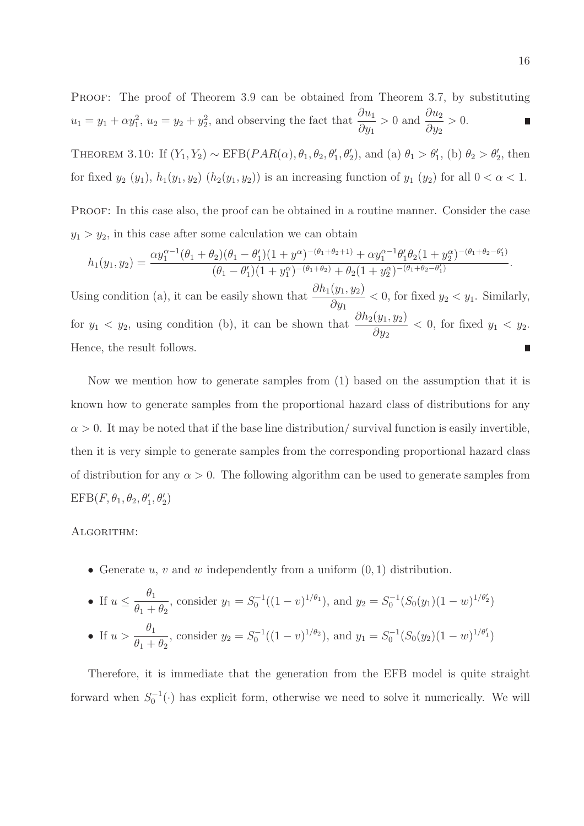PROOF: The proof of Theorem 3.9 can be obtained from Theorem 3.7, by substituting  $u_1 = y_1 + \alpha y_1^2$ ,  $u_2 = y_2 + y_2^2$ , and observing the fact that  $\frac{\partial u_1}{\partial y_2}$  $> 0$  and  $\frac{\partial u_2}{\partial x}$  $> 0.$ Π  $\partial y_1$  $\partial y_2$ 

THEOREM 3.10: If  $(Y_1, Y_2) \sim \text{EFB}(PAR(\alpha), \theta_1, \theta_2, \theta'_1, \theta'_2)$ , and (a)  $\theta_1 > \theta'_1$ , (b)  $\theta_2 > \theta'_2$ , then for fixed  $y_2(y_1)$ ,  $h_1(y_1, y_2)$   $(h_2(y_1, y_2))$  is an increasing function of  $y_1(y_2)$  for all  $0 < \alpha < 1$ .

PROOF: In this case also, the proof can be obtained in a routine manner. Consider the case  $y_1 > y_2$ , in this case after some calculation we can obtain

$$
h_1(y_1, y_2) = \frac{\alpha y_1^{\alpha-1}(\theta_1 + \theta_2)(\theta_1 - \theta_1')(1 + y^{\alpha})^{-(\theta_1 + \theta_2 + 1)} + \alpha y_1^{\alpha-1} \theta_1' \theta_2 (1 + y_2^{\alpha})^{-(\theta_1 + \theta_2 - \theta_1')} }{(\theta_1 - \theta_1')(1 + y_1^{\alpha})^{-(\theta_1 + \theta_2)} + \theta_2 (1 + y_2^{\alpha})^{-(\theta_1 + \theta_2 - \theta_1')} }.
$$

Using condition (a), it can be easily shown that  $\frac{\partial h_1(y_1, y_2)}{\partial x_1}$  $\partial y_1$  $< 0$ , for fixed  $y_2 < y_1$ . Similarly, for  $y_1 < y_2$ , using condition (b), it can be shown that  $\frac{\partial h_2(y_1, y_2)}{\partial y_1}$  $\partial y_2$  $< 0$ , for fixed  $y_1 < y_2$ . Hence, the result follows.

Now we mention how to generate samples from (1) based on the assumption that it is known how to generate samples from the proportional hazard class of distributions for any  $\alpha > 0$ . It may be noted that if the base line distribution/ survival function is easily invertible, then it is very simple to generate samples from the corresponding proportional hazard class of distribution for any  $\alpha > 0$ . The following algorithm can be used to generate samples from  $\text{EFB}(F,\theta_1,\theta_2,\theta_1',\theta_2')$ 

#### Algorithm:

• Generate  $u, v$  and  $w$  independently from a uniform  $(0, 1)$  distribution.

\n- If 
$$
u \leq \frac{\theta_1}{\theta_1 + \theta_2}
$$
, consider  $y_1 = S_0^{-1}((1 - v)^{1/\theta_1})$ , and  $y_2 = S_0^{-1}(S_0(y_1)(1 - w)^{1/\theta_2})$
\n- If  $u > \frac{\theta_1}{\theta_1 + \theta_2}$ , consider  $y_2 = S_0^{-1}((1 - v)^{1/\theta_2})$ , and  $y_1 = S_0^{-1}(S_0(y_2)(1 - w)^{1/\theta_1})$
\n

Therefore, it is immediate that the generation from the EFB model is quite straight forward when  $S_0^{-1}(\cdot)$  has explicit form, otherwise we need to solve it numerically. We will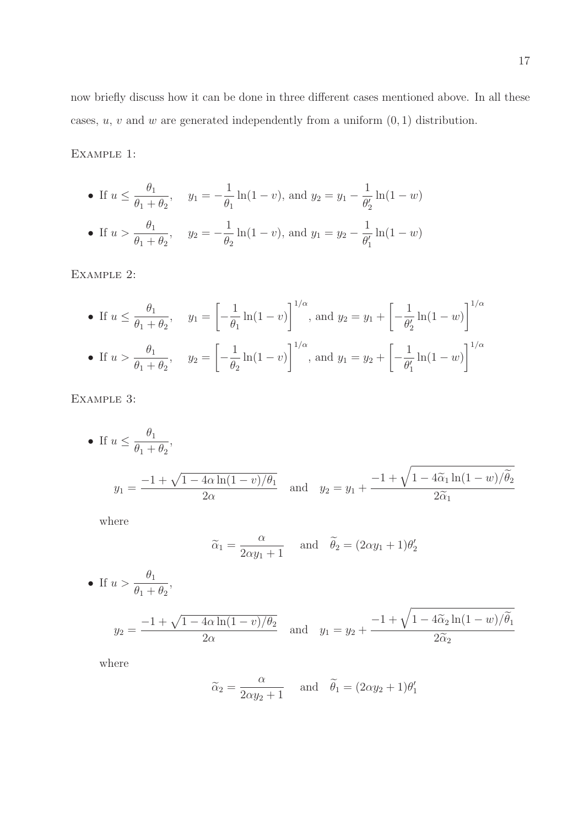now briefly discuss how it can be done in three different cases mentioned above. In all these cases,  $u, v$  and  $w$  are generated independently from a uniform  $(0, 1)$  distribution.

Example 1:

• If 
$$
u \le \frac{\theta_1}{\theta_1 + \theta_2}
$$
,  $y_1 = -\frac{1}{\theta_1} \ln(1 - v)$ , and  $y_2 = y_1 - \frac{1}{\theta'_2} \ln(1 - w)$   
\n• If  $u > \frac{\theta_1}{\theta_1 + \theta_2}$ ,  $y_2 = -\frac{1}{\theta_2} \ln(1 - v)$ , and  $y_1 = y_2 - \frac{1}{\theta'_1} \ln(1 - w)$ 

Example 2:

• If 
$$
u \le \frac{\theta_1}{\theta_1 + \theta_2}
$$
,  $y_1 = \left[ -\frac{1}{\theta_1} \ln(1 - v) \right]^{1/\alpha}$ , and  $y_2 = y_1 + \left[ -\frac{1}{\theta'_2} \ln(1 - w) \right]^{1/\alpha}$   
\n• If  $u > \frac{\theta_1}{\theta_1 + \theta_2}$ ,  $y_2 = \left[ -\frac{1}{\theta_2} \ln(1 - v) \right]^{1/\alpha}$ , and  $y_1 = y_2 + \left[ -\frac{1}{\theta'_1} \ln(1 - w) \right]^{1/\alpha}$ 

Example 3:

• If 
$$
u \le \frac{\theta_1}{\theta_1 + \theta_2}
$$
,  
\n $y_1 = \frac{-1 + \sqrt{1 - 4\alpha \ln(1 - v)/\theta_1}}{2\alpha}$  and  $y_2 = y_1 + \frac{-1 + \sqrt{1 - 4\widetilde{\alpha}_1 \ln(1 - w)/\widetilde{\theta}_2}}{2\widetilde{\alpha}_1}$ 

where

$$
\widetilde{\alpha}_1 = \frac{\alpha}{2\alpha y_1 + 1}
$$
 and  $\widetilde{\theta}_2 = (2\alpha y_1 + 1)\theta'_2$ 

• If 
$$
u > \frac{\theta_1}{\theta_1 + \theta_2}
$$
,  
\n $y_2 = \frac{-1 + \sqrt{1 - 4\alpha \ln(1 - v)/\theta_2}}{2\alpha}$  and  $y_1 = y_2 + \frac{-1 + \sqrt{1 - 4\alpha_2 \ln(1 - w)/\theta_1}}{2\alpha_2}$ 

where

$$
\widetilde{\alpha}_2 = \frac{\alpha}{2\alpha y_2 + 1}
$$
 and  $\widetilde{\theta}_1 = (2\alpha y_2 + 1)\theta'_1$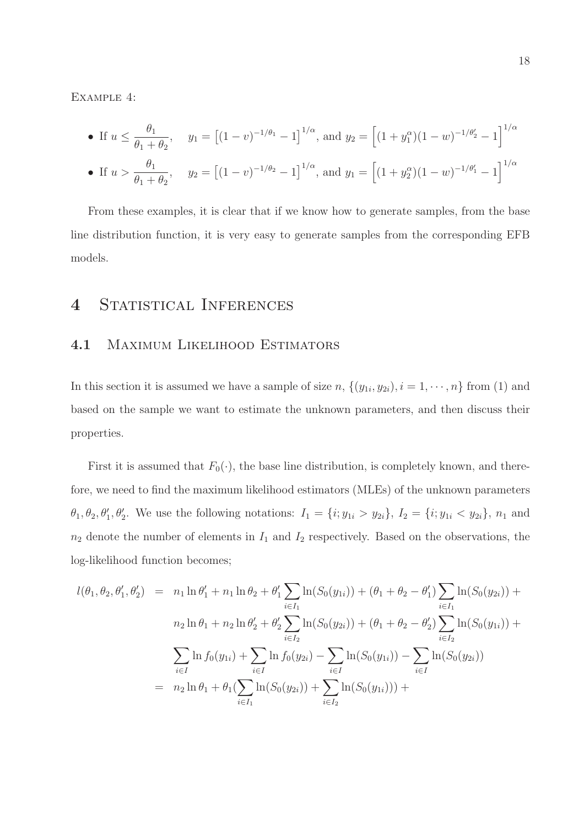Example 4:

• If 
$$
u \le \frac{\theta_1}{\theta_1 + \theta_2}
$$
,  $y_1 = [(1 - v)^{-1/\theta_1} - 1]^{1/\alpha}$ , and  $y_2 = [(1 + y_1^{\alpha})(1 - w)^{-1/\theta_2} - 1]^{1/\alpha}$   
\n• If  $u > \frac{\theta_1}{\theta_1 + \theta_2}$ ,  $y_2 = [(1 - v)^{-1/\theta_2} - 1]^{1/\alpha}$ , and  $y_1 = [(1 + y_2^{\alpha})(1 - w)^{-1/\theta_1} - 1]^{1/\alpha}$ 

From these examples, it is clear that if we know how to generate samples, from the base line distribution function, it is very easy to generate samples from the corresponding EFB models.

# 4 STATISTICAL INFERENCES

#### 4.1 Maximum Likelihood Estimators

In this section it is assumed we have a sample of size  $n, \{(y_{1i}, y_{2i}), i = 1, \dots, n\}$  from (1) and based on the sample we want to estimate the unknown parameters, and then discuss their properties.

First it is assumed that  $F_0(\cdot)$ , the base line distribution, is completely known, and therefore, we need to find the maximum likelihood estimators (MLEs) of the unknown parameters  $\theta_1, \theta_2, \theta'_1, \theta'_2$ . We use the following notations:  $I_1 = \{i; y_{1i} > y_{2i}\}, I_2 = \{i; y_{1i} < y_{2i}\}, n_1$  and  $n_2$  denote the number of elements in  $I_1$  and  $I_2$  respectively. Based on the observations, the log-likelihood function becomes;

$$
l(\theta_1, \theta_2, \theta'_1, \theta'_2) = n_1 \ln \theta'_1 + n_1 \ln \theta_2 + \theta'_1 \sum_{i \in I_1} \ln(S_0(y_{1i})) + (\theta_1 + \theta_2 - \theta'_1) \sum_{i \in I_1} \ln(S_0(y_{2i})) +
$$
  
\n
$$
n_2 \ln \theta_1 + n_2 \ln \theta'_2 + \theta'_2 \sum_{i \in I_2} \ln(S_0(y_{2i})) + (\theta_1 + \theta_2 - \theta'_2) \sum_{i \in I_2} \ln(S_0(y_{1i})) +
$$
  
\n
$$
\sum_{i \in I} \ln f_0(y_{1i}) + \sum_{i \in I} \ln f_0(y_{2i}) - \sum_{i \in I} \ln(S_0(y_{1i})) - \sum_{i \in I} \ln(S_0(y_{2i}))
$$
  
\n
$$
= n_2 \ln \theta_1 + \theta_1 (\sum_{i \in I_1} \ln(S_0(y_{2i})) + \sum_{i \in I_2} \ln(S_0(y_{1i}))) +
$$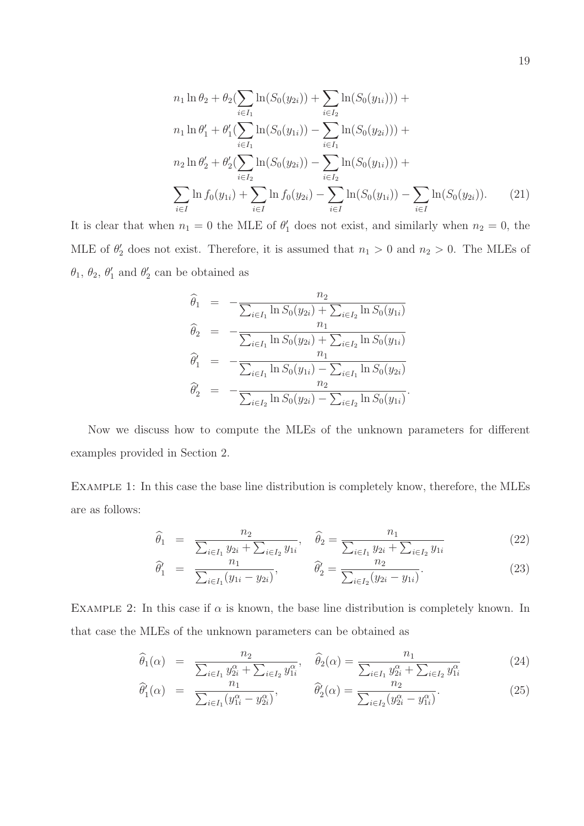$$
n_1 \ln \theta_2 + \theta_2(\sum_{i \in I_1} \ln(S_0(y_{2i})) + \sum_{i \in I_2} \ln(S_0(y_{1i}))) +
$$
  
\n
$$
n_1 \ln \theta'_1 + \theta'_1(\sum_{i \in I_1} \ln(S_0(y_{1i})) - \sum_{i \in I_1} \ln(S_0(y_{2i}))) +
$$
  
\n
$$
n_2 \ln \theta'_2 + \theta'_2(\sum_{i \in I_2} \ln(S_0(y_{2i})) - \sum_{i \in I_2} \ln(S_0(y_{1i}))) +
$$
  
\n
$$
\sum_{i \in I} \ln f_0(y_{1i}) + \sum_{i \in I} \ln f_0(y_{2i}) - \sum_{i \in I} \ln(S_0(y_{1i})) - \sum_{i \in I} \ln(S_0(y_{2i})).
$$
 (21)

It is clear that when  $n_1 = 0$  the MLE of  $\theta'_1$  does not exist, and similarly when  $n_2 = 0$ , the MLE of  $\theta_2'$  does not exist. Therefore, it is assumed that  $n_1 > 0$  and  $n_2 > 0$ . The MLEs of  $\theta_1, \theta_2, \theta'_1$  $'_{1}$  and  $\theta'_{2}$  $'_{2}$  can be obtained as

$$
\widehat{\theta}_1 = -\frac{n_2}{\sum_{i \in I_1} \ln S_0(y_{2i}) + \sum_{i \in I_2} \ln S_0(y_{1i})}
$$
\n
$$
\widehat{\theta}_2 = -\frac{n_1}{\sum_{i \in I_1} \ln S_0(y_{2i}) + \sum_{i \in I_2} \ln S_0(y_{1i})}
$$
\n
$$
\widehat{\theta}'_1 = -\frac{n_1}{\sum_{i \in I_1} \ln S_0(y_{1i}) - \sum_{i \in I_1} \ln S_0(y_{2i})}
$$
\n
$$
\widehat{\theta}'_2 = -\frac{n_2}{\sum_{i \in I_2} \ln S_0(y_{2i}) - \sum_{i \in I_2} \ln S_0(y_{1i})}.
$$

Now we discuss how to compute the MLEs of the unknown parameters for different examples provided in Section 2.

Example 1: In this case the base line distribution is completely know, therefore, the MLEs are as follows:

$$
\widehat{\theta}_1 = \frac{n_2}{\sum_{i \in I_1} y_{2i} + \sum_{i \in I_2} y_{1i}}, \quad \widehat{\theta}_2 = \frac{n_1}{\sum_{i \in I_1} y_{2i} + \sum_{i \in I_2} y_{1i}} \tag{22}
$$

$$
\widehat{\theta}'_1 = \frac{n_1}{\sum_{i \in I_1} (y_{1i} - y_{2i})}, \qquad \widehat{\theta}'_2 = \frac{n_2}{\sum_{i \in I_2} (y_{2i} - y_{1i})}.
$$
\n(23)

EXAMPLE 2: In this case if  $\alpha$  is known, the base line distribution is completely known. In that case the MLEs of the unknown parameters can be obtained as

$$
\widehat{\theta}_{1}(\alpha) = \frac{n_{2}}{\sum_{i \in I_{1}} y_{2i}^{\alpha} + \sum_{i \in I_{2}} y_{1i}^{\alpha}}, \quad \widehat{\theta}_{2}(\alpha) = \frac{n_{1}}{\sum_{i \in I_{1}} y_{2i}^{\alpha} + \sum_{i \in I_{2}} y_{1i}^{\alpha}} \tag{24}
$$

$$
\widehat{\theta}'_1(\alpha) = \frac{n_1}{\sum_{i \in I_1} (y_{1i}^{\alpha} - y_{2i}^{\alpha})}, \qquad \widehat{\theta}'_2(\alpha) = \frac{n_2}{\sum_{i \in I_2} (y_{2i}^{\alpha} - y_{1i}^{\alpha})}.
$$
\n(25)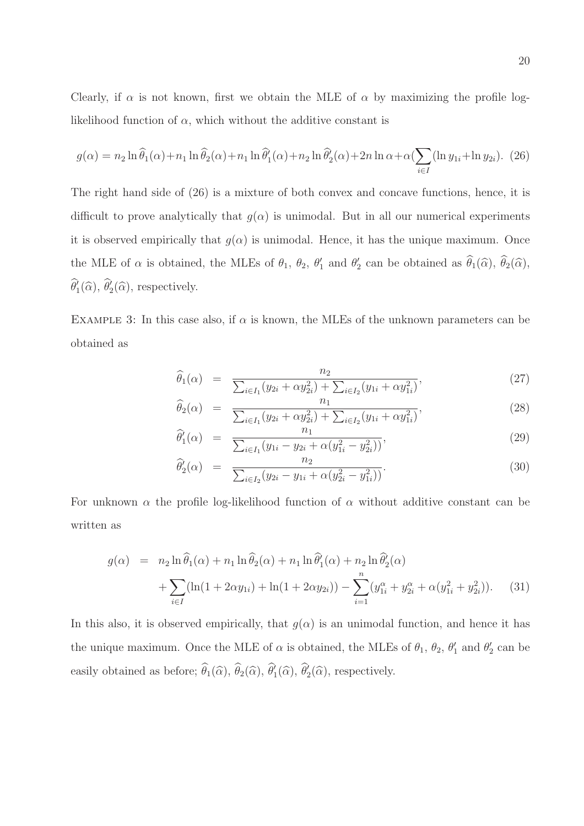Clearly, if  $\alpha$  is not known, first we obtain the MLE of  $\alpha$  by maximizing the profile loglikelihood function of  $\alpha$ , which without the additive constant is

$$
g(\alpha) = n_2 \ln \widehat{\theta}_1(\alpha) + n_1 \ln \widehat{\theta}_2(\alpha) + n_1 \ln \widehat{\theta}'_1(\alpha) + n_2 \ln \widehat{\theta}'_2(\alpha) + 2n \ln \alpha + \alpha \left( \sum_{i \in I} (\ln y_{1i} + \ln y_{2i}) \right).
$$
 (26)

The right hand side of (26) is a mixture of both convex and concave functions, hence, it is difficult to prove analytically that  $g(\alpha)$  is unimodal. But in all our numerical experiments it is observed empirically that  $g(\alpha)$  is unimodal. Hence, it has the unique maximum. Once the MLE of  $\alpha$  is obtained, the MLEs of  $\theta_1$ ,  $\theta_2$ ,  $\theta'_1$  $'_{1}$  and  $\theta'_{2}$  $\ell_2'$  can be obtained as  $\theta_1(\widehat{\alpha}), \theta_2(\widehat{\alpha}),$  $\widehat{\theta}'_1(\widehat{\alpha}), \widehat{\theta}'_2(\widehat{\alpha}),$  respectively.

EXAMPLE 3: In this case also, if  $\alpha$  is known, the MLEs of the unknown parameters can be obtained as

$$
\widehat{\theta}_1(\alpha) = \frac{n_2}{\sum_{i \in I_1} (y_{2i} + \alpha y_{2i}^2) + \sum_{i \in I_2} (y_{1i} + \alpha y_{1i}^2)},\tag{27}
$$

$$
\widehat{\theta}_{2}(\alpha) = \frac{n_{1}}{\sum_{i \in I_{1}} (y_{2i} + \alpha y_{2i}^{2}) + \sum_{i \in I_{2}} (y_{1i} + \alpha y_{1i}^{2})},
$$
\n(28)

$$
\widehat{\theta}'_1(\alpha) = \frac{n_1}{\sum_{i \in I_1} (y_{1i} - y_{2i} + \alpha(y_{1i}^2 - y_{2i}^2))},\tag{29}
$$

$$
\widehat{\theta}_2'(\alpha) = \frac{n_2}{\sum_{i \in I_2} (y_{2i} - y_{1i} + \alpha (y_{2i}^2 - y_{1i}^2))}.
$$
\n(30)

For unknown  $\alpha$  the profile log-likelihood function of  $\alpha$  without additive constant can be written as

$$
g(\alpha) = n_2 \ln \widehat{\theta}_1(\alpha) + n_1 \ln \widehat{\theta}_2(\alpha) + n_1 \ln \widehat{\theta}'_1(\alpha) + n_2 \ln \widehat{\theta}'_2(\alpha) + \sum_{i \in I} (\ln(1 + 2\alpha y_{1i}) + \ln(1 + 2\alpha y_{2i})) - \sum_{i=1}^n (y_{1i}^\alpha + y_{2i}^\alpha + \alpha (y_{1i}^2 + y_{2i}^2)).
$$
 (31)

In this also, it is observed empirically, that  $g(\alpha)$  is an unimodal function, and hence it has the unique maximum. Once the MLE of  $\alpha$  is obtained, the MLEs of  $\theta_1$ ,  $\theta_2$ ,  $\theta'_1$  $'_{1}$  and  $\theta'_{2}$  $_2'$  can be easily obtained as before;  $\hat{\theta}_1(\hat{\alpha}), \hat{\theta}_2(\hat{\alpha}), \hat{\theta}'_1(\hat{\alpha}), \hat{\theta}'_2(\hat{\alpha}),$  respectively.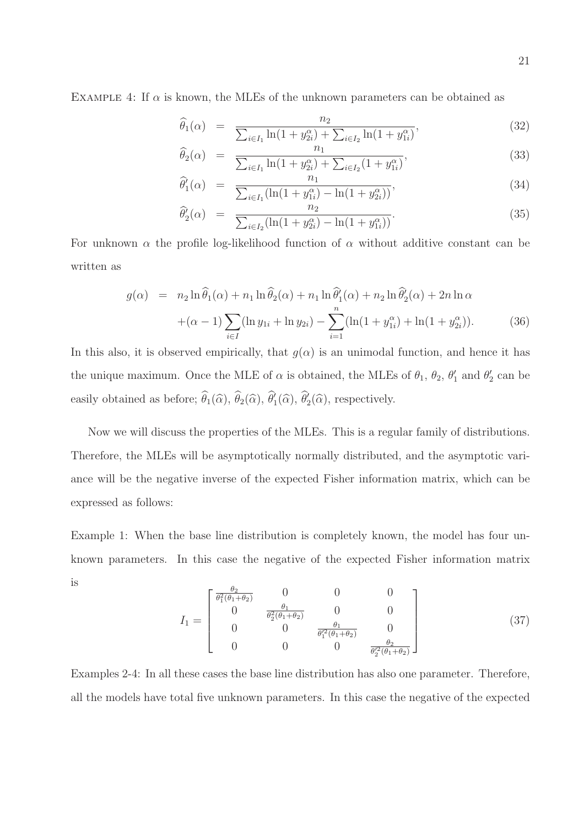EXAMPLE 4: If  $\alpha$  is known, the MLEs of the unknown parameters can be obtained as

$$
\widehat{\theta}_1(\alpha) = \frac{n_2}{\sum_{i \in I_1} \ln(1 + y_{2i}^{\alpha}) + \sum_{i \in I_2} \ln(1 + y_{1i}^{\alpha})},
$$
\n(32)

$$
\widehat{\theta}_2(\alpha) = \frac{n_1}{\sum_{i \in I_1} \ln(1 + y_{2i}^{\alpha}) + \sum_{i \in I_2} (1 + y_{1i}^{\alpha})},\tag{33}
$$

$$
\widehat{\theta}'_1(\alpha) = \frac{n_1}{\sum_{i \in I_1} (\ln(1 + y_{1i}^{\alpha}) - \ln(1 + y_{2i}^{\alpha}))},\tag{34}
$$

$$
\widehat{\theta}'_2(\alpha) = \frac{n_2}{\sum_{i \in I_2} (\ln(1 + y_{2i}^{\alpha}) - \ln(1 + y_{1i}^{\alpha}))}.
$$
\n(35)

For unknown  $\alpha$  the profile log-likelihood function of  $\alpha$  without additive constant can be written as

$$
g(\alpha) = n_2 \ln \hat{\theta}_1(\alpha) + n_1 \ln \hat{\theta}_2(\alpha) + n_1 \ln \hat{\theta}'_1(\alpha) + n_2 \ln \hat{\theta}'_2(\alpha) + 2n \ln \alpha
$$
  
+ (\alpha - 1)  $\sum_{i \in I} (\ln y_{1i} + \ln y_{2i}) - \sum_{i=1}^n (\ln(1 + y_{1i}^{\alpha}) + \ln(1 + y_{2i}^{\alpha})).$  (36)

In this also, it is observed empirically, that  $g(\alpha)$  is an unimodal function, and hence it has the unique maximum. Once the MLE of  $\alpha$  is obtained, the MLEs of  $\theta_1$ ,  $\theta_2$ ,  $\theta'_1$  $'_{1}$  and  $\theta'_{2}$  $'_2$  can be easily obtained as before;  $\hat{\theta}_1(\hat{\alpha}), \hat{\theta}_2(\hat{\alpha}), \hat{\theta}'_1(\hat{\alpha}), \hat{\theta}'_2(\hat{\alpha}),$  respectively.

Now we will discuss the properties of the MLEs. This is a regular family of distributions. Therefore, the MLEs will be asymptotically normally distributed, and the asymptotic variance will be the negative inverse of the expected Fisher information matrix, which can be expressed as follows:

Example 1: When the base line distribution is completely known, the model has four unknown parameters. In this case the negative of the expected Fisher information matrix is θ2

$$
I_1 = \begin{bmatrix} \frac{\theta_2}{\theta_1^2(\theta_1 + \theta_2)} & 0 & 0 & 0\\ 0 & \frac{\theta_1}{\theta_2^2(\theta_1 + \theta_2)} & 0 & 0\\ 0 & 0 & \frac{\theta_1}{\theta_1^2(\theta_1 + \theta_2)} & 0\\ 0 & 0 & 0 & \frac{\theta_2}{\theta_2^2(\theta_1 + \theta_2)} \end{bmatrix}
$$
(37)

Examples 2-4: In all these cases the base line distribution has also one parameter. Therefore, all the models have total five unknown parameters. In this case the negative of the expected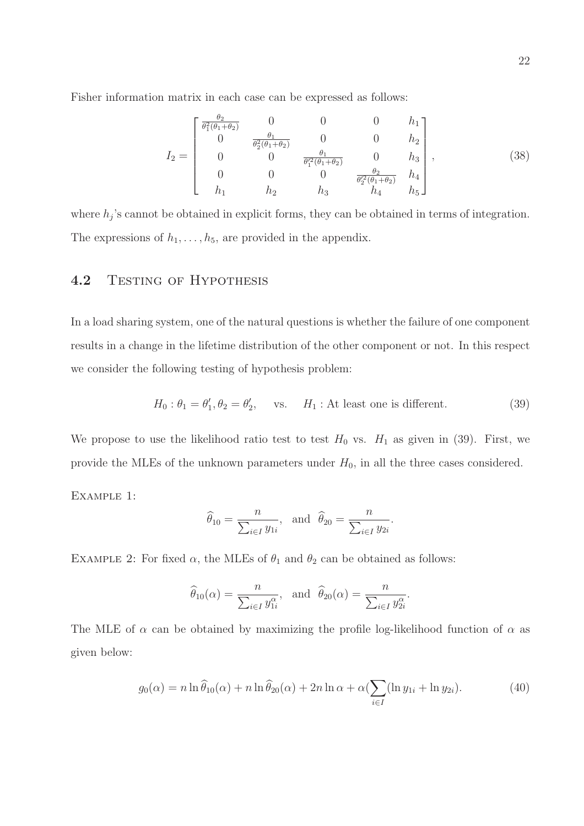Fisher information matrix in each case can be expressed as follows:

$$
I_2 = \begin{bmatrix} \frac{\theta_2}{\theta_1^2(\theta_1 + \theta_2)} & 0 & 0 & 0 & h_1 \\ 0 & \frac{\theta_1}{\theta_2^2(\theta_1 + \theta_2)} & 0 & 0 & h_2 \\ 0 & 0 & \frac{\theta_1}{\theta_1^2(\theta_1 + \theta_2)} & 0 & h_3 \\ 0 & 0 & 0 & \frac{\theta_2}{\theta_2^2(\theta_1 + \theta_2)} & h_4 \\ h_1 & h_2 & h_3 & h_4 & h_5 \end{bmatrix},
$$
(38)

where  $h_j$ 's cannot be obtained in explicit forms, they can be obtained in terms of integration. The expressions of  $h_1, \ldots, h_5$ , are provided in the appendix.

# 4.2 TESTING OF HYPOTHESIS

In a load sharing system, one of the natural questions is whether the failure of one component results in a change in the lifetime distribution of the other component or not. In this respect we consider the following testing of hypothesis problem:

$$
H_0: \theta_1 = \theta'_1, \theta_2 = \theta'_2, \quad \text{vs.} \quad H_1: \text{At least one is different.} \tag{39}
$$

We propose to use the likelihood ratio test to test  $H_0$  vs.  $H_1$  as given in (39). First, we provide the MLEs of the unknown parameters under  $H_0$ , in all the three cases considered.

Example 1:

$$
\widehat{\theta}_{10} = \frac{n}{\sum_{i \in I} y_{1i}}, \text{ and } \widehat{\theta}_{20} = \frac{n}{\sum_{i \in I} y_{2i}}.
$$

EXAMPLE 2: For fixed  $\alpha$ , the MLEs of  $\theta_1$  and  $\theta_2$  can be obtained as follows:

$$
\widehat{\theta}_{10}(\alpha) = \frac{n}{\sum_{i \in I} y_{1i}^{\alpha}}, \text{ and } \widehat{\theta}_{20}(\alpha) = \frac{n}{\sum_{i \in I} y_{2i}^{\alpha}}.
$$

The MLE of  $\alpha$  can be obtained by maximizing the profile log-likelihood function of  $\alpha$  as given below:

$$
g_0(\alpha) = n \ln \widehat{\theta}_{10}(\alpha) + n \ln \widehat{\theta}_{20}(\alpha) + 2n \ln \alpha + \alpha \left( \sum_{i \in I} (\ln y_{1i} + \ln y_{2i}) \right). \tag{40}
$$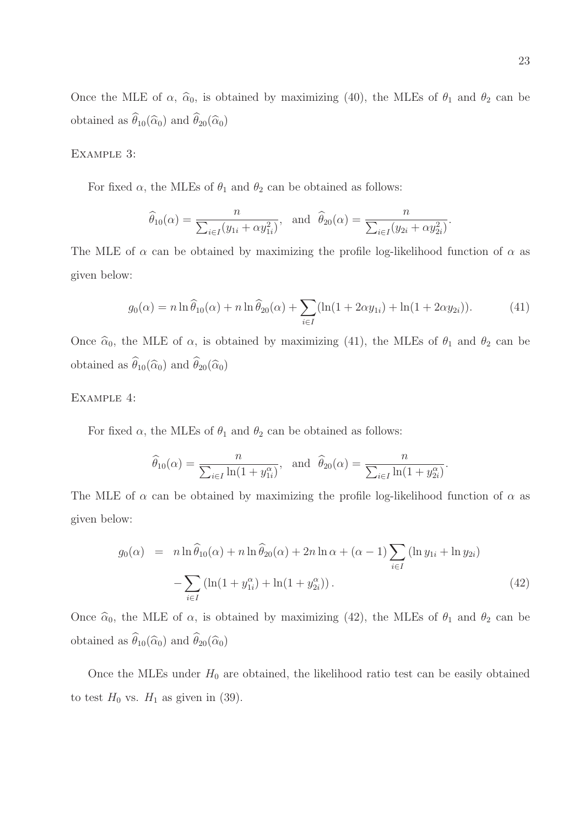Once the MLE of  $\alpha$ ,  $\hat{\alpha}_0$ , is obtained by maximizing (40), the MLEs of  $\theta_1$  and  $\theta_2$  can be obtained as  $\widehat{\theta}_{10}(\widehat{\alpha}_0)$  and  $\widehat{\theta}_{20}(\widehat{\alpha}_0)$ 

#### Example 3:

For fixed  $\alpha$ , the MLEs of  $\theta_1$  and  $\theta_2$  can be obtained as follows:

$$
\widehat{\theta}_{10}(\alpha) = \frac{n}{\sum_{i \in I} (y_{1i} + \alpha y_{1i}^2)}, \text{ and } \widehat{\theta}_{20}(\alpha) = \frac{n}{\sum_{i \in I} (y_{2i} + \alpha y_{2i}^2)}.
$$

The MLE of  $\alpha$  can be obtained by maximizing the profile log-likelihood function of  $\alpha$  as given below:

$$
g_0(\alpha) = n \ln \hat{\theta}_{10}(\alpha) + n \ln \hat{\theta}_{20}(\alpha) + \sum_{i \in I} (\ln(1 + 2\alpha y_{1i}) + \ln(1 + 2\alpha y_{2i})). \tag{41}
$$

Once  $\hat{\alpha}_0$ , the MLE of  $\alpha$ , is obtained by maximizing (41), the MLEs of  $\theta_1$  and  $\theta_2$  can be obtained as  $\widehat{\theta}_{10}(\widehat{\alpha}_0)$  and  $\widehat{\theta}_{20}(\widehat{\alpha}_0)$ 

#### Example 4:

For fixed  $\alpha$ , the MLEs of  $\theta_1$  and  $\theta_2$  can be obtained as follows:

$$
\widehat{\theta}_{10}(\alpha) = \frac{n}{\sum_{i \in I} \ln(1 + y_{1i}^{\alpha})}, \text{ and } \widehat{\theta}_{20}(\alpha) = \frac{n}{\sum_{i \in I} \ln(1 + y_{2i}^{\alpha})}.
$$

The MLE of  $\alpha$  can be obtained by maximizing the profile log-likelihood function of  $\alpha$  as given below:

$$
g_0(\alpha) = n \ln \widehat{\theta}_{10}(\alpha) + n \ln \widehat{\theta}_{20}(\alpha) + 2n \ln \alpha + (\alpha - 1) \sum_{i \in I} (\ln y_{1i} + \ln y_{2i})
$$

$$
- \sum_{i \in I} (\ln(1 + y_{1i}^{\alpha}) + \ln(1 + y_{2i}^{\alpha})). \tag{42}
$$

Once  $\hat{\alpha}_0$ , the MLE of  $\alpha$ , is obtained by maximizing (42), the MLEs of  $\theta_1$  and  $\theta_2$  can be obtained as  $\widehat{\theta}_{10}(\widehat{\alpha}_0)$  and  $\widehat{\theta}_{20}(\widehat{\alpha}_0)$ 

Once the MLEs under  $H_0$  are obtained, the likelihood ratio test can be easily obtained to test  $H_0$  vs.  $H_1$  as given in (39).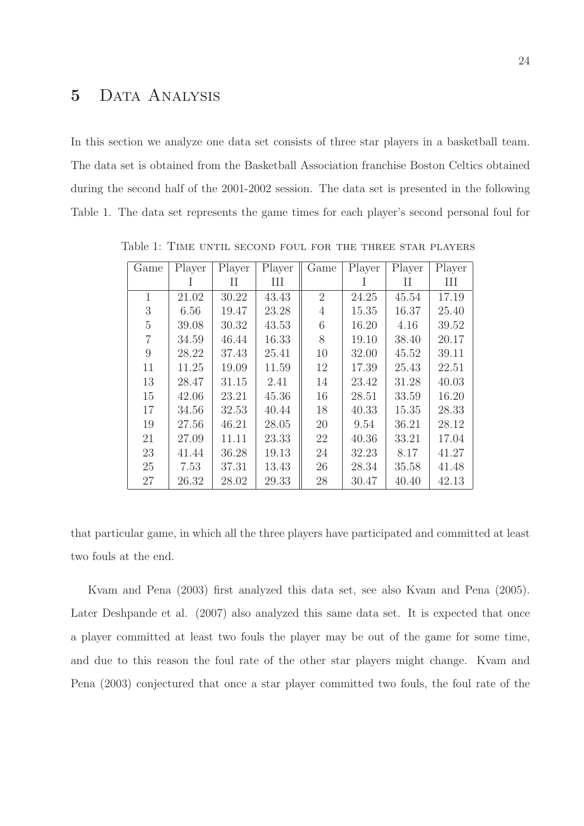# 5 Data Analysis

In this section we analyze one data set consists of three star players in a basketball team. The data set is obtained from the Basketball Association franchise Boston Celtics obtained during the second half of the 2001-2002 session. The data set is presented in the following Table 1. The data set represents the game times for each player's second personal foul for

| Game | Player | Player | Player | Game           | Player | Player | Player |
|------|--------|--------|--------|----------------|--------|--------|--------|
|      |        | П      | Ш      |                |        | П      | Ш      |
| 1    | 21.02  | 30.22  | 43.43  | $\overline{2}$ | 24.25  | 45.54  | 17.19  |
| 3    | 6.56   | 19.47  | 23.28  | $\overline{4}$ | 15.35  | 16.37  | 25.40  |
| 5    | 39.08  | 30.32  | 43.53  | 6              | 16.20  | 4.16   | 39.52  |
|      | 34.59  | 46.44  | 16.33  | 8              | 19.10  | 38.40  | 20.17  |
| 9    | 28.22  | 37.43  | 25.41  | 10             | 32.00  | 45.52  | 39.11  |
| 11   | 11.25  | 19.09  | 11.59  | 12             | 17.39  | 25.43  | 22.51  |
| 13   | 28.47  | 31.15  | 2.41   | 14             | 23.42  | 31.28  | 40.03  |
| 15   | 42.06  | 23.21  | 45.36  | 16             | 28.51  | 33.59  | 16.20  |
| 17   | 34.56  | 32.53  | 40.44  | 18             | 40.33  | 15.35  | 28.33  |
| 19   | 27.56  | 46.21  | 28.05  | 20             | 9.54   | 36.21  | 28.12  |
| 21   | 27.09  | 11.11  | 23.33  | 22             | 40.36  | 33.21  | 17.04  |
| 23   | 41.44  | 36.28  | 19.13  | 24             | 32.23  | 8.17   | 41.27  |
| 25   | 7.53   | 37.31  | 13.43  | 26             | 28.34  | 35.58  | 41.48  |
| 27   | 26.32  | 28.02  | 29.33  | 28             | 30.47  | 40.40  | 42.13  |

Table 1: Time until second foul for the three star players

that particular game, in which all the three players have participated and committed at least two fouls at the end.

Kvam and Pena (2003) first analyzed this data set, see also Kvam and Pena (2005). Later Deshpande et al. (2007) also analyzed this same data set. It is expected that once a player committed at least two fouls the player may be out of the game for some time, and due to this reason the foul rate of the other star players might change. Kvam and Pena (2003) conjectured that once a star player committed two fouls, the foul rate of the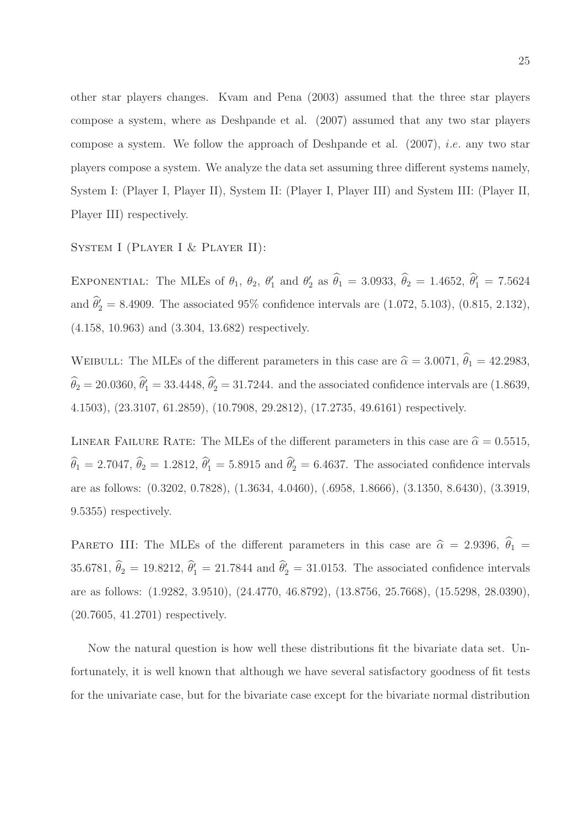other star players changes. Kvam and Pena (2003) assumed that the three star players compose a system, where as Deshpande et al. (2007) assumed that any two star players compose a system. We follow the approach of Deshpande et al. (2007), i.e. any two star players compose a system. We analyze the data set assuming three different systems namely, System I: (Player I, Player II), System II: (Player I, Player III) and System III: (Player II, Player III) respectively.

#### SYSTEM I (PLAYER I & PLAYER II):

EXPONENTIAL: The MLEs of  $\theta_1$ ,  $\theta_2$ ,  $\theta'_1$  $'_{1}$  and  $\theta'_{2}$  $\hat{\theta}_1 = 3.0933, \ \hat{\theta}_2 = 1.4652, \ \hat{\theta}'_1 = 7.5624$ and  $\hat{\theta}'_2 = 8.4909$ . The associated 95% confidence intervals are (1.072, 5.103), (0.815, 2.132), (4.158, 10.963) and (3.304, 13.682) respectively.

WEIBULL: The MLEs of the different parameters in this case are  $\hat{\alpha} = 3.0071, \hat{\theta}_1 = 42.2983$ ,  $\widehat{\theta}_2 = 20.0360, \widehat{\theta}'_1 = 33.4448, \widehat{\theta}'_2 = 31.7244$ . and the associated confidence intervals are (1.8639, 4.1503), (23.3107, 61.2859), (10.7908, 29.2812), (17.2735, 49.6161) respectively.

LINEAR FAILURE RATE: The MLEs of the different parameters in this case are  $\hat{\alpha} = 0.5515$ ,  $\hat{\theta}_1 = 2.7047$ ,  $\hat{\theta}_2 = 1.2812$ ,  $\hat{\theta}'_1 = 5.8915$  and  $\hat{\theta}'_2 = 6.4637$ . The associated confidence intervals are as follows: (0.3202, 0.7828), (1.3634, 4.0460), (.6958, 1.8666), (3.1350, 8.6430), (3.3919, 9.5355) respectively.

PARETO III: The MLEs of the different parameters in this case are  $\hat{\alpha} = 2.9396, \hat{\theta}_1 =$ 35.6781,  $\hat{\theta}_2 = 19.8212$ ,  $\hat{\theta}'_1 = 21.7844$  and  $\hat{\theta}'_2 = 31.0153$ . The associated confidence intervals are as follows: (1.9282, 3.9510), (24.4770, 46.8792), (13.8756, 25.7668), (15.5298, 28.0390), (20.7605, 41.2701) respectively.

Now the natural question is how well these distributions fit the bivariate data set. Unfortunately, it is well known that although we have several satisfactory goodness of fit tests for the univariate case, but for the bivariate case except for the bivariate normal distribution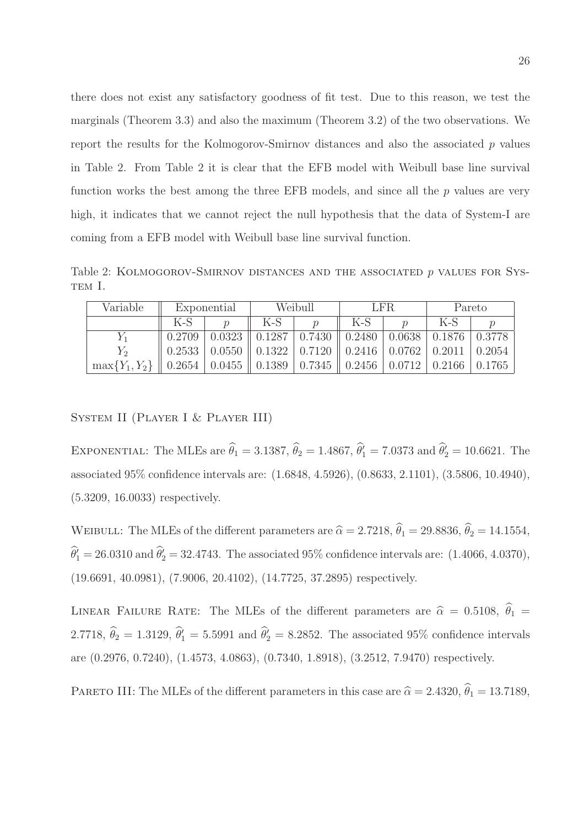there does not exist any satisfactory goodness of fit test. Due to this reason, we test the marginals (Theorem 3.3) and also the maximum (Theorem 3.2) of the two observations. We report the results for the Kolmogorov-Smirnov distances and also the associated  $p$  values in Table 2. From Table 2 it is clear that the EFB model with Weibull base line survival function works the best among the three EFB models, and since all the  $p$  values are very high, it indicates that we cannot reject the null hypothesis that the data of System-I are coming from a EFB model with Weibull base line survival function.

Table 2: KOLMOGOROV-SMIRNOV DISTANCES AND THE ASSOCIATED  $p$  values for Sys-TEM I.

| Variable           | Exponential |        | Weibull                    |        | LFR.   |          | Pareto               |              |
|--------------------|-------------|--------|----------------------------|--------|--------|----------|----------------------|--------------|
|                    | K-S         |        | $K-S$                      |        | $K-S$  |          | $K-S$                |              |
| Y 1                | 0.2709      | 0.0323 | 0.1287                     | 0.7430 | 0.2480 | 0.0638   | $0.1876 \mid 0.3778$ |              |
|                    | 0.2533      | 0.0550 | $0.1322$   0.7120          |        | 0.2416 | $0.0762$ | 0.2011               | $\pm 0.2054$ |
| $\max\{Y_1, Y_2\}$ | 0.2654      |        | $0.0455$   0.1389   0.7345 |        | 0.2456 | 0.0712   | 0.2166               | 0.1765       |

#### System II (Player I & Player III)

EXPONENTIAL: The MLEs are  $\hat{\theta}_1 = 3.1387$ ,  $\hat{\theta}_2 = 1.4867$ ,  $\hat{\theta}'_1 = 7.0373$  and  $\hat{\theta}'_2 = 10.6621$ . The associated 95% confidence intervals are: (1.6848, 4.5926), (0.8633, 2.1101), (3.5806, 10.4940), (5.3209, 16.0033) respectively.

WEIBULL: The MLEs of the different parameters are  $\hat{\alpha} = 2.7218$ ,  $\hat{\theta}_1 = 29.8836$ ,  $\hat{\theta}_2 = 14.1554$ ,  $\widehat{\theta}'_1 = 26.0310$  and  $\widehat{\theta}'_2 = 32.4743$ . The associated 95% confidence intervals are: (1.4066, 4.0370), (19.6691, 40.0981), (7.9006, 20.4102), (14.7725, 37.2895) respectively.

LINEAR FAILURE RATE: The MLEs of the different parameters are  $\hat{\alpha} = 0.5108, \hat{\theta}_1 =$ 2.7718,  $\hat{\theta}_2 = 1.3129$ ,  $\hat{\theta}'_1 = 5.5991$  and  $\hat{\theta}'_2 = 8.2852$ . The associated 95% confidence intervals are (0.2976, 0.7240), (1.4573, 4.0863), (0.7340, 1.8918), (3.2512, 7.9470) respectively.

PARETO III: The MLEs of the different parameters in this case are  $\hat{\alpha} = 2.4320, \hat{\theta}_1 = 13.7189,$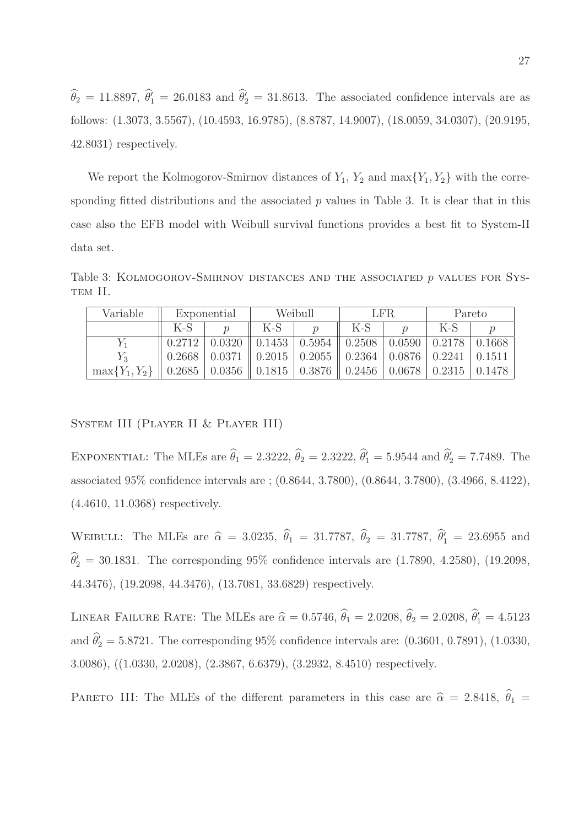$\widehat{\theta}_2 = 11.8897, \widehat{\theta}_1^{\prime} = 26.0183 \text{ and } \widehat{\theta}_2^{\prime} = 31.8613.$  The associated confidence intervals are as follows: (1.3073, 3.5567), (10.4593, 16.9785), (8.8787, 14.9007), (18.0059, 34.0307), (20.9195, 42.8031) respectively.

We report the Kolmogorov-Smirnov distances of  $Y_1$ ,  $Y_2$  and  $\max\{Y_1, Y_2\}$  with the corresponding fitted distributions and the associated  $p$  values in Table 3. It is clear that in this case also the EFB model with Weibull survival functions provides a best fit to System-II data set.

Table 3: Kolmogorov-Smirnov distances and the associated p values for System II.

| Variable           | Exponential |        | Weibull                     |                      | LFR.               |        | Pareto        |         |
|--------------------|-------------|--------|-----------------------------|----------------------|--------------------|--------|---------------|---------|
|                    | K-S         | $\eta$ | $K-S$                       |                      | K-S                |        | $K-S$         |         |
|                    | 0.2712      | 0.0320 | 0.1453                      | 0.5954               | $\parallel 0.2508$ | 0.0590 | 0.2178        | -0.1668 |
| $Y_3$              | 0.2668      | 0.0371 | $\parallel$ 0.2015   0.2055 |                      | $\parallel 0.2364$ | 0.0876 | $\mid 0.2241$ | 0.1511  |
| $\max\{Y_1, Y_2\}$ | 0.2685      |        | $0.0356 \parallel 0.1815$   | $\vert 0.3876 \vert$ | $\parallel 0.2456$ | 0.0678 | 0.2315        | 0.1478  |

System III (Player II & Player III)

EXPONENTIAL: The MLEs are  $\hat{\theta}_1 = 2.3222$ ,  $\hat{\theta}_2 = 2.3222$ ,  $\hat{\theta}'_1 = 5.9544$  and  $\hat{\theta}'_2 = 7.7489$ . The associated 95% confidence intervals are ; (0.8644, 3.7800), (0.8644, 3.7800), (3.4966, 8.4122), (4.4610, 11.0368) respectively.

WEIBULL: The MLEs are  $\hat{\alpha} = 3.0235, \hat{\theta}_1 = 31.7787, \hat{\theta}_2 = 31.7787, \hat{\theta}'_1 = 23.6955$  and  $\widehat{\theta}'_2 = 30.1831$ . The corresponding 95% confidence intervals are  $(1.7890, 4.2580)$ ,  $(19.2098,$ 44.3476), (19.2098, 44.3476), (13.7081, 33.6829) respectively.

LINEAR FAILURE RATE: The MLEs are  $\hat{\alpha} = 0.5746, \hat{\theta}_1 = 2.0208, \hat{\theta}_2 = 2.0208, \hat{\theta}'_1 = 4.5123$ and  $\hat{\theta}_{2}^{\prime} = 5.8721$ . The corresponding 95% confidence intervals are: (0.3601, 0.7891), (1.0330, 3.0086), ((1.0330, 2.0208), (2.3867, 6.6379), (3.2932, 8.4510) respectively.

PARETO III: The MLEs of the different parameters in this case are  $\hat{\alpha} = 2.8418, \hat{\theta}_1 =$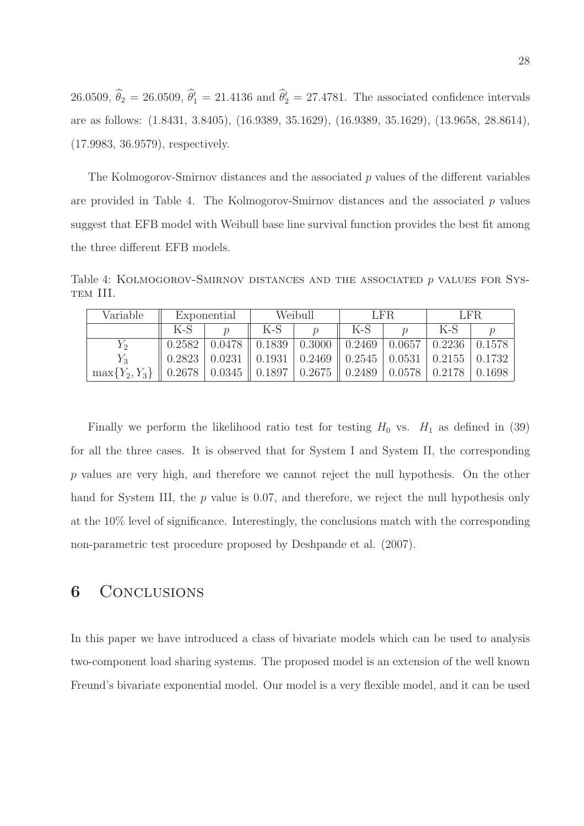26.0509,  $\hat{\theta}_2 = 26.0509$ ,  $\hat{\theta}'_1 = 21.4136$  and  $\hat{\theta}'_2 = 27.4781$ . The associated confidence intervals are as follows: (1.8431, 3.8405), (16.9389, 35.1629), (16.9389, 35.1629), (13.9658, 28.8614), (17.9983, 36.9579), respectively.

The Kolmogorov-Smirnov distances and the associated  $p$  values of the different variables are provided in Table 4. The Kolmogorov-Smirnov distances and the associated  $p$  values suggest that EFB model with Weibull base line survival function provides the best fit among the three different EFB models.

Table 4: KOLMOGOROV-SMIRNOV DISTANCES AND THE ASSOCIATED  $p$  values for System III.

| Variable           | Exponential                    |                                                | Weibull            |                  | LFR.                 |        | LFR.                        |        |
|--------------------|--------------------------------|------------------------------------------------|--------------------|------------------|----------------------|--------|-----------------------------|--------|
|                    | $K-S$                          |                                                | $K-S$              |                  | $K-S$                |        | $K-S$                       |        |
| $1\,2$             | 0.2582                         | 0.0478                                         | $\parallel 0.1839$ | 0.3000           | $\vert 0.2469 \vert$ | 0.0657 | 0.2236                      | 0.1578 |
| $Y_3$              | 0.2823                         | 0.0231                                         | $\parallel 0.1931$ | $ 0.2469\rangle$ | $\vert 0.2545 \vert$ | 0.0531 | $\mid$ 0.2155 $\mid$ 0.1732 |        |
| $\max\{Y_2, Y_3\}$ | $\parallel$ 0.2678 $\parallel$ | $\vert 0.0345 \vert \vert 0.1897 \vert 0.2675$ |                    |                  | $\parallel 0.2489$   | 0.0578 | $\mid 0.2178$               | 0.1698 |

Finally we perform the likelihood ratio test for testing  $H_0$  vs.  $H_1$  as defined in (39) for all the three cases. It is observed that for System I and System II, the corresponding p values are very high, and therefore we cannot reject the null hypothesis. On the other hand for System III, the p value is 0.07, and therefore, we reject the null hypothesis only at the 10% level of significance. Interestingly, the conclusions match with the corresponding non-parametric test procedure proposed by Deshpande et al. (2007).

## 6 CONCLUSIONS

In this paper we have introduced a class of bivariate models which can be used to analysis two-component load sharing systems. The proposed model is an extension of the well known Freund's bivariate exponential model. Our model is a very flexible model, and it can be used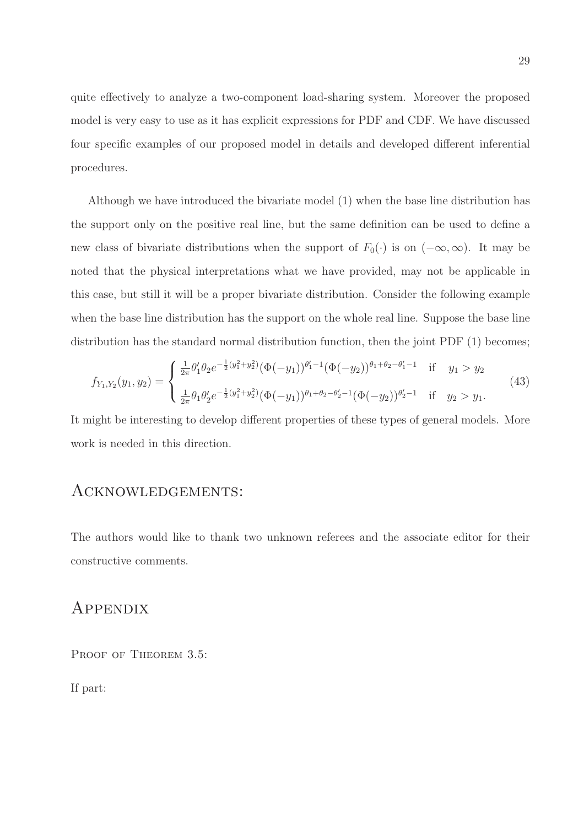quite effectively to analyze a two-component load-sharing system. Moreover the proposed model is very easy to use as it has explicit expressions for PDF and CDF. We have discussed four specific examples of our proposed model in details and developed different inferential procedures.

Although we have introduced the bivariate model (1) when the base line distribution has the support only on the positive real line, but the same definition can be used to define a new class of bivariate distributions when the support of  $F_0(\cdot)$  is on  $(-\infty,\infty)$ . It may be noted that the physical interpretations what we have provided, may not be applicable in this case, but still it will be a proper bivariate distribution. Consider the following example when the base line distribution has the support on the whole real line. Suppose the base line distribution has the standard normal distribution function, then the joint PDF (1) becomes;

$$
f_{Y_1,Y_2}(y_1,y_2) = \begin{cases} \frac{1}{2\pi} \theta_1' \theta_2 e^{-\frac{1}{2}(y_1^2 + y_2^2)} (\Phi(-y_1))^{\theta_1' - 1} (\Phi(-y_2))^{\theta_1 + \theta_2 - \theta_1' - 1} & \text{if } y_1 > y_2\\ \frac{1}{2\pi} \theta_1 \theta_2' e^{-\frac{1}{2}(y_1^2 + y_2^2)} (\Phi(-y_1))^{\theta_1 + \theta_2 - \theta_2' - 1} (\Phi(-y_2))^{\theta_2' - 1} & \text{if } y_2 > y_1. \end{cases}
$$
(43)

It might be interesting to develop different properties of these types of general models. More work is needed in this direction.

### Acknowledgements:

The authors would like to thank two unknown referees and the associate editor for their constructive comments.

### **APPENDIX**

PROOF OF THEOREM 3.5:

If part: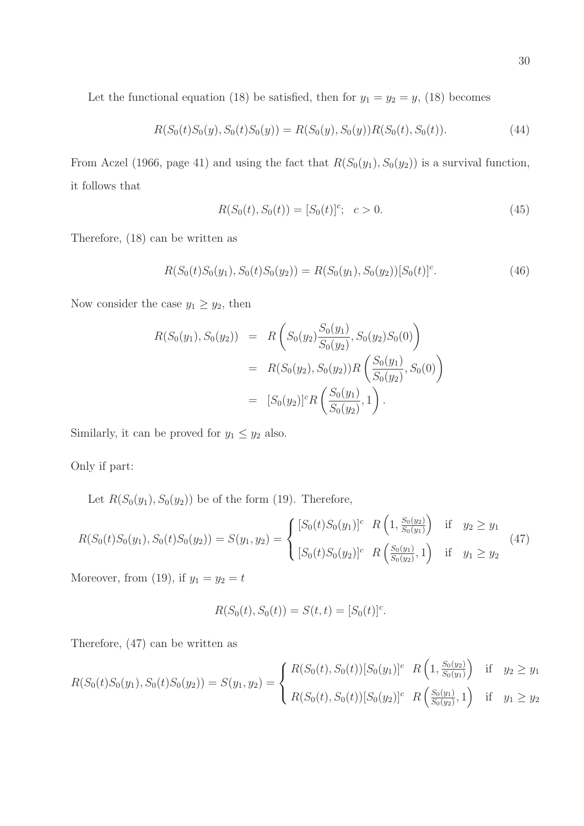Let the functional equation (18) be satisfied, then for  $y_1 = y_2 = y$ , (18) becomes

$$
R(S_0(t)S_0(y), S_0(t)S_0(y)) = R(S_0(y), S_0(y))R(S_0(t), S_0(t)).
$$
\n(44)

From Aczel (1966, page 41) and using the fact that  $R(S_0(y_1), S_0(y_2))$  is a survival function, it follows that

$$
R(S_0(t), S_0(t)) = [S_0(t)]^c; \quad c > 0.
$$
\n(45)

Therefore, (18) can be written as

$$
R(S_0(t)S_0(y_1), S_0(t)S_0(y_2)) = R(S_0(y_1), S_0(y_2))[S_0(t)]^c.
$$
\n(46)

Now consider the case  $y_1 \ge y_2$ , then

$$
R(S_0(y_1), S_0(y_2)) = R\left(S_0(y_2) \frac{S_0(y_1)}{S_0(y_2)}, S_0(y_2) S_0(0)\right)
$$
  
= 
$$
R(S_0(y_2), S_0(y_2))R\left(\frac{S_0(y_1)}{S_0(y_2)}, S_0(0)\right)
$$
  
= 
$$
[S_0(y_2)]^c R\left(\frac{S_0(y_1)}{S_0(y_2)}, 1\right).
$$

Similarly, it can be proved for  $y_1 \le y_2$  also.

Only if part:

Let  $R(S_0(y_1), S_0(y_2))$  be of the form (19). Therefore,

$$
R(S_0(t)S_0(y_1), S_0(t)S_0(y_2)) = S(y_1, y_2) = \begin{cases} [S_0(t)S_0(y_1)]^c & R\left(1, \frac{S_0(y_2)}{S_0(y_1)}\right) & \text{if } y_2 \ge y_1\\ [S_0(t)S_0(y_2)]^c & R\left(\frac{S_0(y_1)}{S_0(y_2)}, 1\right) & \text{if } y_1 \ge y_2 \end{cases}
$$
(47)

Moreover, from (19), if  $y_1 = y_2 = t$ 

$$
R(S_0(t), S_0(t)) = S(t, t) = [S_0(t)]^c.
$$

Therefore, (47) can be written as

$$
R(S_0(t)S_0(y_1), S_0(t)S_0(y_2)) = S(y_1, y_2) = \begin{cases} R(S_0(t), S_0(t))[S_0(y_1)]^c & R\left(1, \frac{S_0(y_2)}{S_0(y_1)}\right) & \text{if } y_2 \ge y_1\\ R(S_0(t), S_0(t))[S_0(y_2)]^c & R\left(\frac{S_0(y_1)}{S_0(y_2)}, 1\right) & \text{if } y_1 \ge y_2 \end{cases}
$$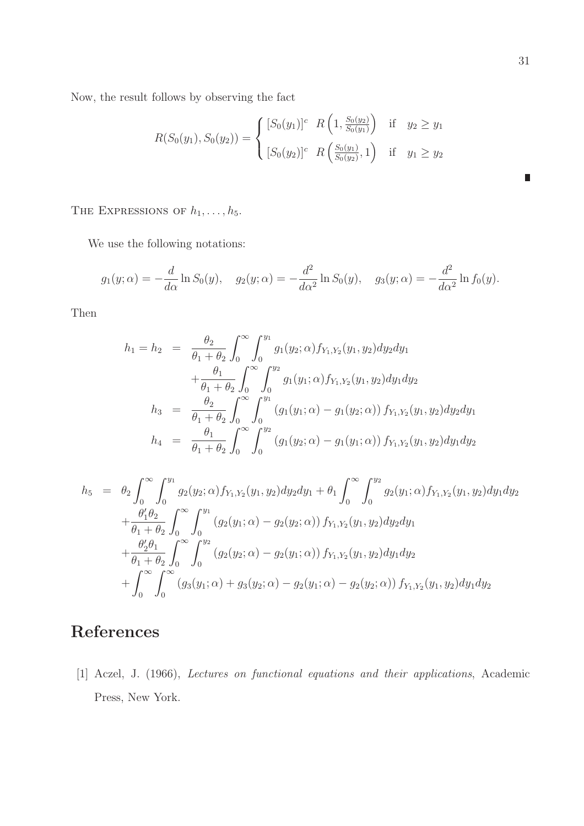Now, the result follows by observing the fact

$$
R(S_0(y_1), S_0(y_2)) = \begin{cases} [S_0(y_1)]^c & R\left(1, \frac{S_0(y_2)}{S_0(y_1)}\right) & \text{if } y_2 \ge y_1\\ [S_0(y_2)]^c & R\left(\frac{S_0(y_1)}{S_0(y_2)}, 1\right) & \text{if } y_1 \ge y_2 \end{cases}
$$

THE EXPRESSIONS OF  $h_1, \ldots, h_5$ .

We use the following notations:

$$
g_1(y; \alpha) = -\frac{d}{d\alpha} \ln S_0(y), \quad g_2(y; \alpha) = -\frac{d^2}{d\alpha^2} \ln S_0(y), \quad g_3(y; \alpha) = -\frac{d^2}{d\alpha^2} \ln f_0(y).
$$

Then

$$
h_1 = h_2 = \frac{\theta_2}{\theta_1 + \theta_2} \int_0^\infty \int_0^{y_1} g_1(y_2; \alpha) f_{Y_1, Y_2}(y_1, y_2) dy_2 dy_1
$$
  
\n
$$
+ \frac{\theta_1}{\theta_1 + \theta_2} \int_0^\infty \int_0^{y_2} g_1(y_1; \alpha) f_{Y_1, Y_2}(y_1, y_2) dy_1 dy_2
$$
  
\n
$$
h_3 = \frac{\theta_2}{\theta_1 + \theta_2} \int_0^\infty \int_0^{y_1} (g_1(y_1; \alpha) - g_1(y_2; \alpha)) f_{Y_1, Y_2}(y_1, y_2) dy_2 dy_1
$$
  
\n
$$
h_4 = \frac{\theta_1}{\theta_1 + \theta_2} \int_0^\infty \int_0^{y_2} (g_1(y_2; \alpha) - g_1(y_1; \alpha)) f_{Y_1, Y_2}(y_1, y_2) dy_1 dy_2
$$

$$
h_5 = \theta_2 \int_0^{\infty} \int_0^{y_1} g_2(y_2; \alpha) f_{Y_1, Y_2}(y_1, y_2) dy_2 dy_1 + \theta_1 \int_0^{\infty} \int_0^{y_2} g_2(y_1; \alpha) f_{Y_1, Y_2}(y_1, y_2) dy_1 dy_2
$$
  
+  $\frac{\theta'_1 \theta_2}{\theta_1 + \theta_2} \int_0^{\infty} \int_0^{y_1} (g_2(y_1; \alpha) - g_2(y_2; \alpha)) f_{Y_1, Y_2}(y_1, y_2) dy_2 dy_1$   
+  $\frac{\theta'_2 \theta_1}{\theta_1 + \theta_2} \int_0^{\infty} \int_0^{y_2} (g_2(y_2; \alpha) - g_2(y_1; \alpha)) f_{Y_1, Y_2}(y_1, y_2) dy_1 dy_2$   
+  $\int_0^{\infty} \int_0^{\infty} (g_3(y_1; \alpha) + g_3(y_2; \alpha) - g_2(y_1; \alpha) - g_2(y_2; \alpha)) f_{Y_1, Y_2}(y_1, y_2) dy_1 dy_2$ 

# References

[1] Aczel, J. (1966), Lectures on functional equations and their applications, Academic Press, New York.

 $\blacksquare$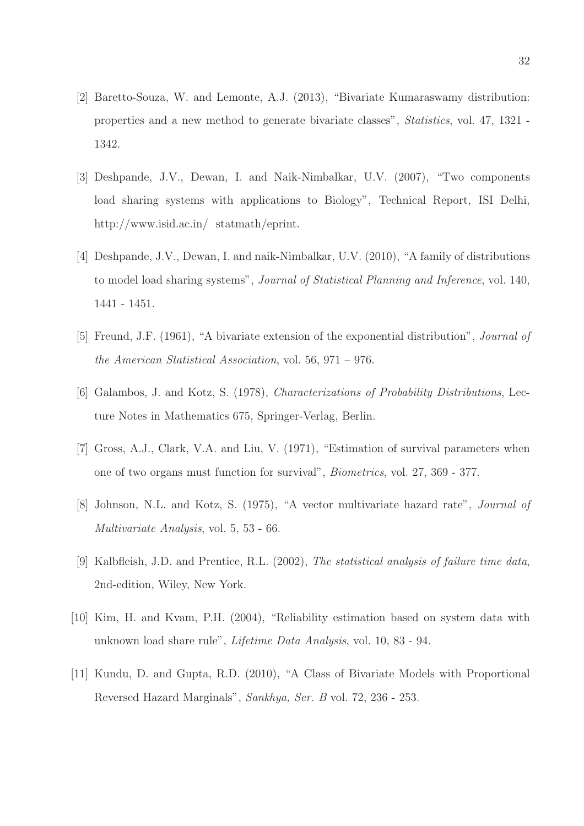- [2] Baretto-Souza, W. and Lemonte, A.J. (2013), "Bivariate Kumaraswamy distribution: properties and a new method to generate bivariate classes", Statistics, vol. 47, 1321 - 1342.
- [3] Deshpande, J.V., Dewan, I. and Naik-Nimbalkar, U.V. (2007), "Two components load sharing systems with applications to Biology", Technical Report, ISI Delhi, http://www.isid.ac.in/ statmath/eprint.
- [4] Deshpande, J.V., Dewan, I. and naik-Nimbalkar, U.V. (2010), "A family of distributions to model load sharing systems", Journal of Statistical Planning and Inference, vol. 140, 1441 - 1451.
- [5] Freund, J.F. (1961), "A bivariate extension of the exponential distribution", Journal of the American Statistical Association, vol. 56, 971 – 976.
- [6] Galambos, J. and Kotz, S. (1978), Characterizations of Probability Distributions, Lecture Notes in Mathematics 675, Springer-Verlag, Berlin.
- [7] Gross, A.J., Clark, V.A. and Liu, V. (1971), "Estimation of survival parameters when one of two organs must function for survival", Biometrics, vol. 27, 369 - 377.
- [8] Johnson, N.L. and Kotz, S. (1975), "A vector multivariate hazard rate", Journal of Multivariate Analysis, vol. 5, 53 - 66.
- [9] Kalbfleish, J.D. and Prentice, R.L. (2002), The statistical analysis of failure time data, 2nd-edition, Wiley, New York.
- [10] Kim, H. and Kvam, P.H. (2004), "Reliability estimation based on system data with unknown load share rule", Lifetime Data Analysis, vol. 10, 83 - 94.
- [11] Kundu, D. and Gupta, R.D. (2010), "A Class of Bivariate Models with Proportional Reversed Hazard Marginals", Sankhya, Ser. B vol. 72, 236 - 253.